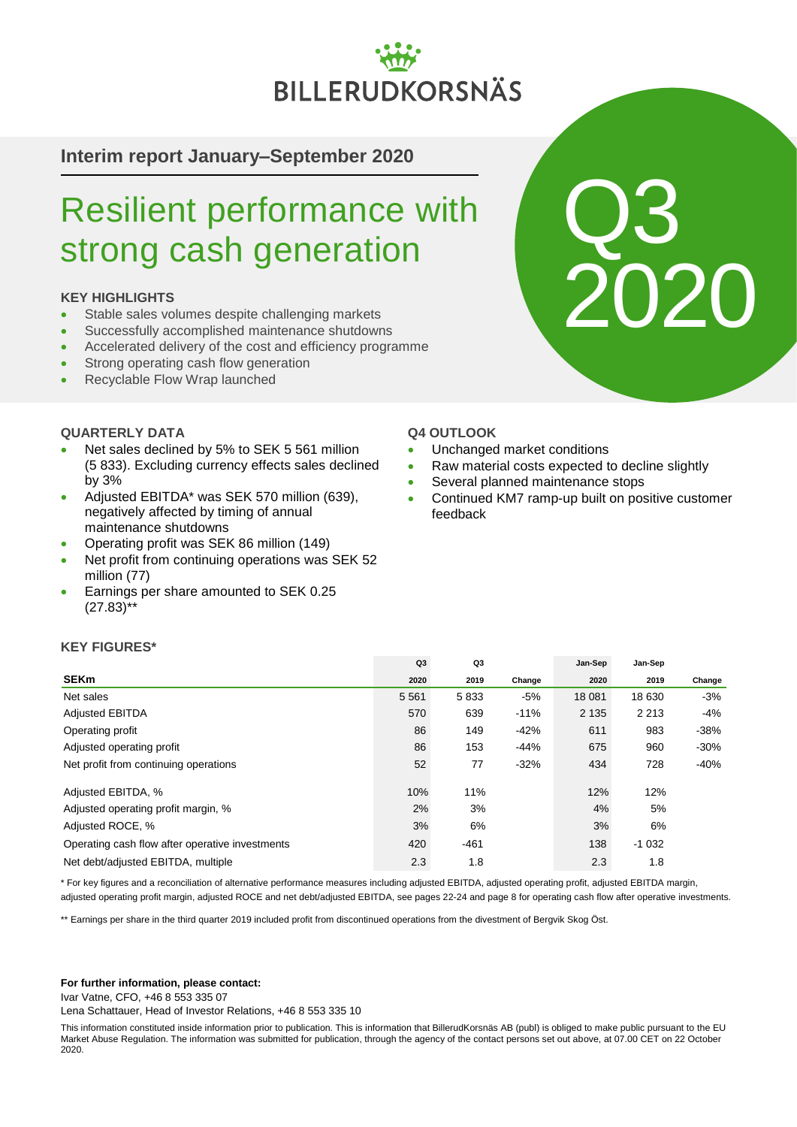# **BILLERUDKORSNÄS**

# **Interim report January–September 2020**

# Resilient performance with strong cash generation

# **KEY HIGHLIGHTS**

- Stable sales volumes despite challenging markets
- Successfully accomplished maintenance shutdowns
- Accelerated delivery of the cost and efficiency programme
- Strong operating cash flow generation
- Recyclable Flow Wrap launched

# **QUARTERLY DATA**

- Net sales declined by 5% to SEK 5 561 million (5 833). Excluding currency effects sales declined by 3%
- Adjusted EBITDA\* was SEK 570 million (639), negatively affected by timing of annual maintenance shutdowns
- Operating profit was SEK 86 million (149)
- Net profit from continuing operations was SEK 52 million (77)
- Earnings per share amounted to SEK 0.25  $(27.83)$ \*\*

### **Q4 OUTLOOK**

- Unchanged market conditions
- Raw material costs expected to decline slightly
- Several planned maintenance stops
- Continued KM7 ramp-up built on positive customer feedback

Q3

2020

### **KEY FIGURES\***

|                                                 | Q <sub>3</sub> | Q3     |        | Jan-Sep | Jan-Sep |        |
|-------------------------------------------------|----------------|--------|--------|---------|---------|--------|
| <b>SEKm</b>                                     | 2020           | 2019   | Change | 2020    | 2019    | Change |
| Net sales                                       | 5 5 6 1        | 5833   | -5%    | 18 081  | 18 630  | $-3%$  |
| <b>Adjusted EBITDA</b>                          | 570            | 639    | $-11%$ | 2 1 3 5 | 2 2 1 3 | -4%    |
| Operating profit                                | 86             | 149    | $-42%$ | 611     | 983     | $-38%$ |
| Adjusted operating profit                       | 86             | 153    | $-44%$ | 675     | 960     | $-30%$ |
| Net profit from continuing operations           | 52             | 77     | $-32%$ | 434     | 728     | -40%   |
| Adjusted EBITDA, %                              | 10%            | 11%    |        | 12%     | 12%     |        |
| Adjusted operating profit margin, %             | 2%             | 3%     |        | 4%      | 5%      |        |
| Adjusted ROCE, %                                | 3%             | 6%     |        | 3%      | 6%      |        |
| Operating cash flow after operative investments | 420            | $-461$ |        | 138     | $-1032$ |        |
| Net debt/adjusted EBITDA, multiple              | 2.3            | 1.8    |        | 2.3     | 1.8     |        |

\* For key figures and a reconciliation of alternative performance measures including adjusted EBITDA, adjusted operating profit, adjusted EBITDA margin,

adjusted operating profit margin, adjusted ROCE and net debt/adjusted EBITDA, see pages 22-24 and page 8 for operating cash flow after operative investments.

\*\* Earnings per share in the third quarter 2019 included profit from discontinued operations from the divestment of Bergvik Skog Öst.

#### **For further information, please contact:**

Ivar Vatne, CFO, +46 8 553 335 07

Lena Schattauer, Head of Investor Relations, +46 8 553 335 10

This information constituted inside information prior to publication. This is information that BillerudKorsnäs AB (publ) is obliged to make public pursuant to the EU Market Abuse Regulation. The information was submitted for publication, through the agency of the contact persons set out above, at 07.00 CET on 22 October 2020.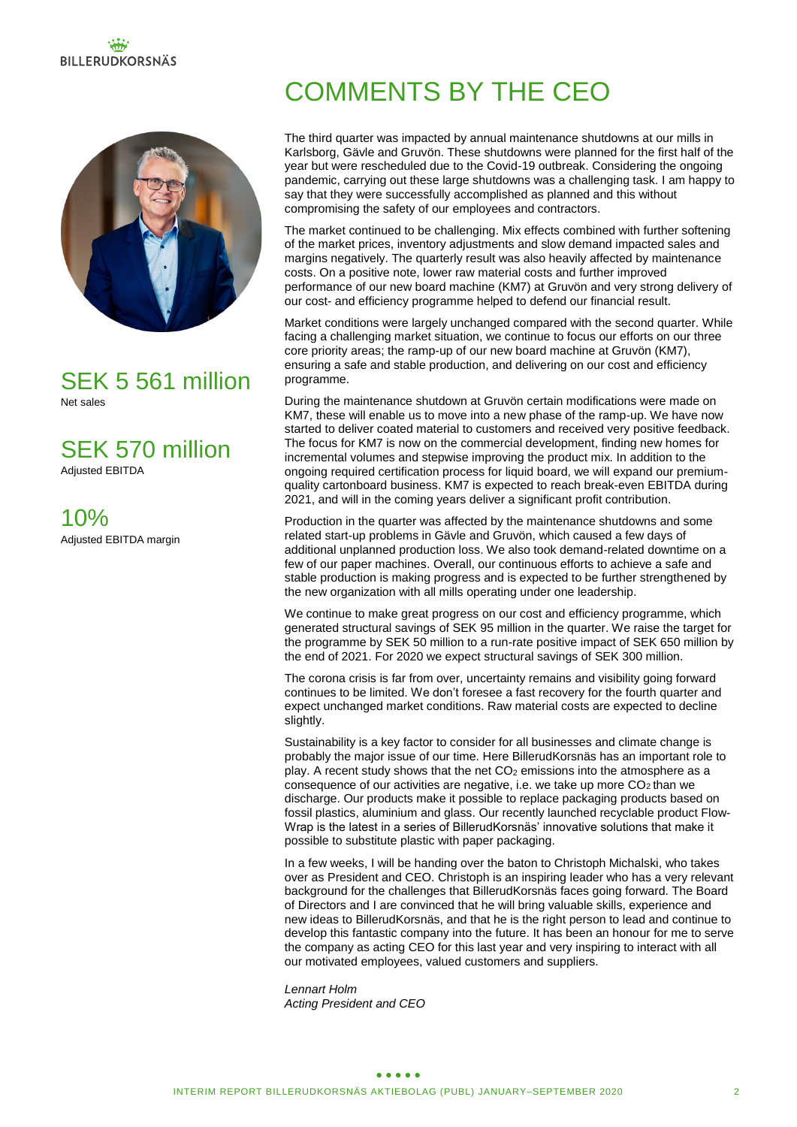# **BILLERUDKORSNÄS**



SEK 5 561 million Net sales

SEK 570 million Adjusted EBITDA

10% Adjusted EBITDA margin

# COMMENTS BY THE CEO

The third quarter was impacted by annual maintenance shutdowns at our mills in Karlsborg, Gävle and Gruvön. These shutdowns were planned for the first half of the year but were rescheduled due to the Covid-19 outbreak. Considering the ongoing pandemic, carrying out these large shutdowns was a challenging task. I am happy to say that they were successfully accomplished as planned and this without compromising the safety of our employees and contractors.

The market continued to be challenging. Mix effects combined with further softening of the market prices, inventory adjustments and slow demand impacted sales and margins negatively. The quarterly result was also heavily affected by maintenance costs. On a positive note, lower raw material costs and further improved performance of our new board machine (KM7) at Gruvön and very strong delivery of our cost- and efficiency programme helped to defend our financial result.

Market conditions were largely unchanged compared with the second quarter. While facing a challenging market situation, we continue to focus our efforts on our three core priority areas; the ramp-up of our new board machine at Gruvön (KM7), ensuring a safe and stable production, and delivering on our cost and efficiency programme.

During the maintenance shutdown at Gruvön certain modifications were made on KM7, these will enable us to move into a new phase of the ramp-up. We have now started to deliver coated material to customers and received very positive feedback. The focus for KM7 is now on the commercial development, finding new homes for incremental volumes and stepwise improving the product mix. In addition to the ongoing required certification process for liquid board, we will expand our premiumquality cartonboard business. KM7 is expected to reach break-even EBITDA during 2021, and will in the coming years deliver a significant profit contribution.

Production in the quarter was affected by the maintenance shutdowns and some related start-up problems in Gävle and Gruvön, which caused a few days of additional unplanned production loss. We also took demand-related downtime on a few of our paper machines. Overall, our continuous efforts to achieve a safe and stable production is making progress and is expected to be further strengthened by the new organization with all mills operating under one leadership.

We continue to make great progress on our cost and efficiency programme, which generated structural savings of SEK 95 million in the quarter. We raise the target for the programme by SEK 50 million to a run-rate positive impact of SEK 650 million by the end of 2021. For 2020 we expect structural savings of SEK 300 million.

The corona crisis is far from over, uncertainty remains and visibility going forward continues to be limited. We don't foresee a fast recovery for the fourth quarter and expect unchanged market conditions. Raw material costs are expected to decline slightly.

Sustainability is a key factor to consider for all businesses and climate change is probably the major issue of our time. Here BillerudKorsnäs has an important role to play. A recent study shows that the net  $CO<sub>2</sub>$  emissions into the atmosphere as a consequence of our activities are negative, i.e. we take up more  $CO<sub>2</sub>$  than we discharge. Our products make it possible to replace packaging products based on fossil plastics, aluminium and glass. Our recently launched recyclable product Flow-Wrap is the latest in a series of BillerudKorsnäs' innovative solutions that make it possible to substitute plastic with paper packaging.

In a few weeks, I will be handing over the baton to Christoph Michalski, who takes over as President and CEO. Christoph is an inspiring leader who has a very relevant background for the challenges that BillerudKorsnäs faces going forward. The Board of Directors and I are convinced that he will bring valuable skills, experience and new ideas to BillerudKorsnäs, and that he is the right person to lead and continue to develop this fantastic company into the future. It has been an honour for me to serve the company as acting CEO for this last year and very inspiring to interact with all our motivated employees, valued customers and suppliers.

*Lennart Holm Acting President and CEO*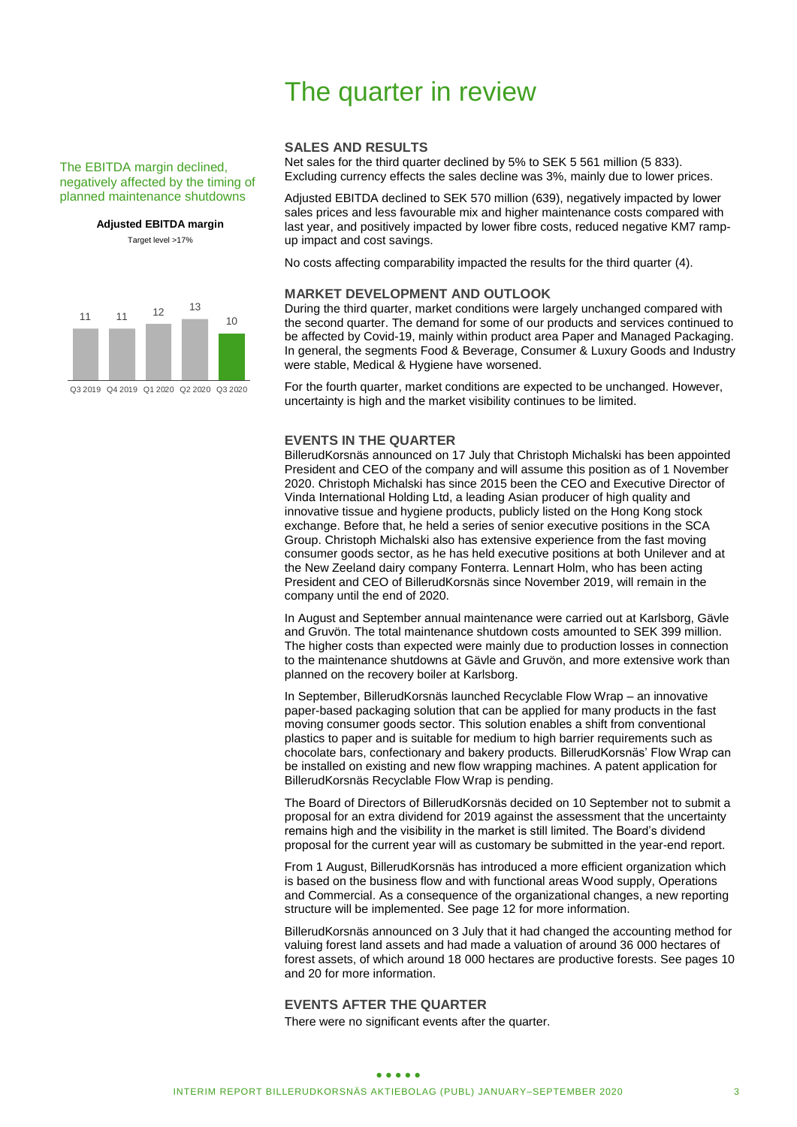#### The EBITDA margin declined, negatively affected by the timing of planned maintenance shutdowns

**Adjusted EBITDA margin** Target level >17%

11 11 <sup>12</sup> <sup>13</sup> 10

Q3 2019 Q4 2019 Q1 2020 Q2 2020 Q3 2020

# The quarter in review

#### **SALES AND RESULTS**

Net sales for the third quarter declined by 5% to SEK 5 561 million (5 833). Excluding currency effects the sales decline was 3%, mainly due to lower prices.

Adjusted EBITDA declined to SEK 570 million (639), negatively impacted by lower sales prices and less favourable mix and higher maintenance costs compared with last year, and positively impacted by lower fibre costs, reduced negative KM7 rampup impact and cost savings.

No costs affecting comparability impacted the results for the third quarter (4).

#### **MARKET DEVELOPMENT AND OUTLOOK**

During the third quarter, market conditions were largely unchanged compared with the second quarter. The demand for some of our products and services continued to be affected by Covid-19, mainly within product area Paper and Managed Packaging. In general, the segments Food & Beverage, Consumer & Luxury Goods and Industry were stable, Medical & Hygiene have worsened.

For the fourth quarter, market conditions are expected to be unchanged. However, uncertainty is high and the market visibility continues to be limited.

#### **EVENTS IN THE QUARTER**

BillerudKorsnäs announced on 17 July that Christoph Michalski has been appointed President and CEO of the company and will assume this position as of 1 November 2020. Christoph Michalski has since 2015 been the CEO and Executive Director of Vinda International Holding Ltd, a leading Asian producer of high quality and innovative tissue and hygiene products, publicly listed on the Hong Kong stock exchange. Before that, he held a series of senior executive positions in the SCA Group. Christoph Michalski also has extensive experience from the fast moving consumer goods sector, as he has held executive positions at both Unilever and at the New Zeeland dairy company Fonterra. Lennart Holm, who has been acting President and CEO of BillerudKorsnäs since November 2019, will remain in the company until the end of 2020.

In August and September annual maintenance were carried out at Karlsborg, Gävle and Gruvön. The total maintenance shutdown costs amounted to SEK 399 million. The higher costs than expected were mainly due to production losses in connection to the maintenance shutdowns at Gävle and Gruvön, and more extensive work than planned on the recovery boiler at Karlsborg.

In September, BillerudKorsnäs launched Recyclable Flow Wrap – an innovative paper-based packaging solution that can be applied for many products in the fast moving consumer goods sector. This solution enables a shift from conventional plastics to paper and is suitable for medium to high barrier requirements such as chocolate bars, confectionary and bakery products. BillerudKorsnäs' Flow Wrap can be installed on existing and new flow wrapping machines. A patent application for BillerudKorsnäs Recyclable Flow Wrap is pending.

The Board of Directors of BillerudKorsnäs decided on 10 September not to submit a proposal for an extra dividend for 2019 against the assessment that the uncertainty remains high and the visibility in the market is still limited. The Board's dividend proposal for the current year will as customary be submitted in the year-end report.

From 1 August, BillerudKorsnäs has introduced a more efficient organization which is based on the business flow and with functional areas Wood supply, Operations and Commercial. As a consequence of the organizational changes, a new reporting structure will be implemented. See page 12 for more information.

BillerudKorsnäs announced on 3 July that it had changed the accounting method for valuing forest land assets and had made a valuation of around 36 000 hectares of forest assets, of which around 18 000 hectares are productive forests. See pages 10 and 20 for more information.

### **EVENTS AFTER THE QUARTER**

There were no significant events after the quarter.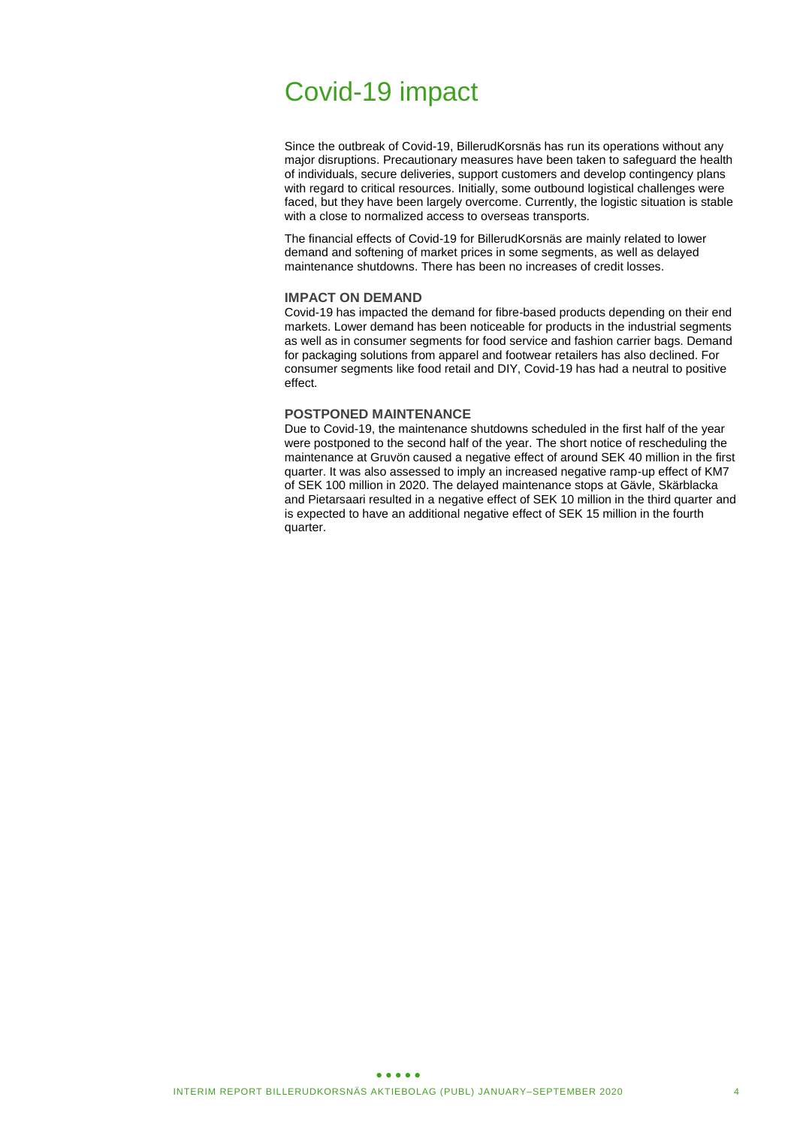# Covid-19 impact

Since the outbreak of Covid-19, BillerudKorsnäs has run its operations without any major disruptions. Precautionary measures have been taken to safeguard the health of individuals, secure deliveries, support customers and develop contingency plans with regard to critical resources. Initially, some outbound logistical challenges were faced, but they have been largely overcome. Currently, the logistic situation is stable with a close to normalized access to overseas transports.

The financial effects of Covid-19 for BillerudKorsnäs are mainly related to lower demand and softening of market prices in some segments, as well as delayed maintenance shutdowns. There has been no increases of credit losses.

#### **IMPACT ON DEMAND**

Covid-19 has impacted the demand for fibre-based products depending on their end markets. Lower demand has been noticeable for products in the industrial segments as well as in consumer segments for food service and fashion carrier bags. Demand for packaging solutions from apparel and footwear retailers has also declined. For consumer segments like food retail and DIY, Covid-19 has had a neutral to positive effect.

#### **POSTPONED MAINTENANCE**

Due to Covid-19, the maintenance shutdowns scheduled in the first half of the year were postponed to the second half of the year. The short notice of rescheduling the maintenance at Gruvön caused a negative effect of around SEK 40 million in the first quarter. It was also assessed to imply an increased negative ramp-up effect of KM7 of SEK 100 million in 2020. The delayed maintenance stops at Gävle, Skärblacka and Pietarsaari resulted in a negative effect of SEK 10 million in the third quarter and is expected to have an additional negative effect of SEK 15 million in the fourth quarter.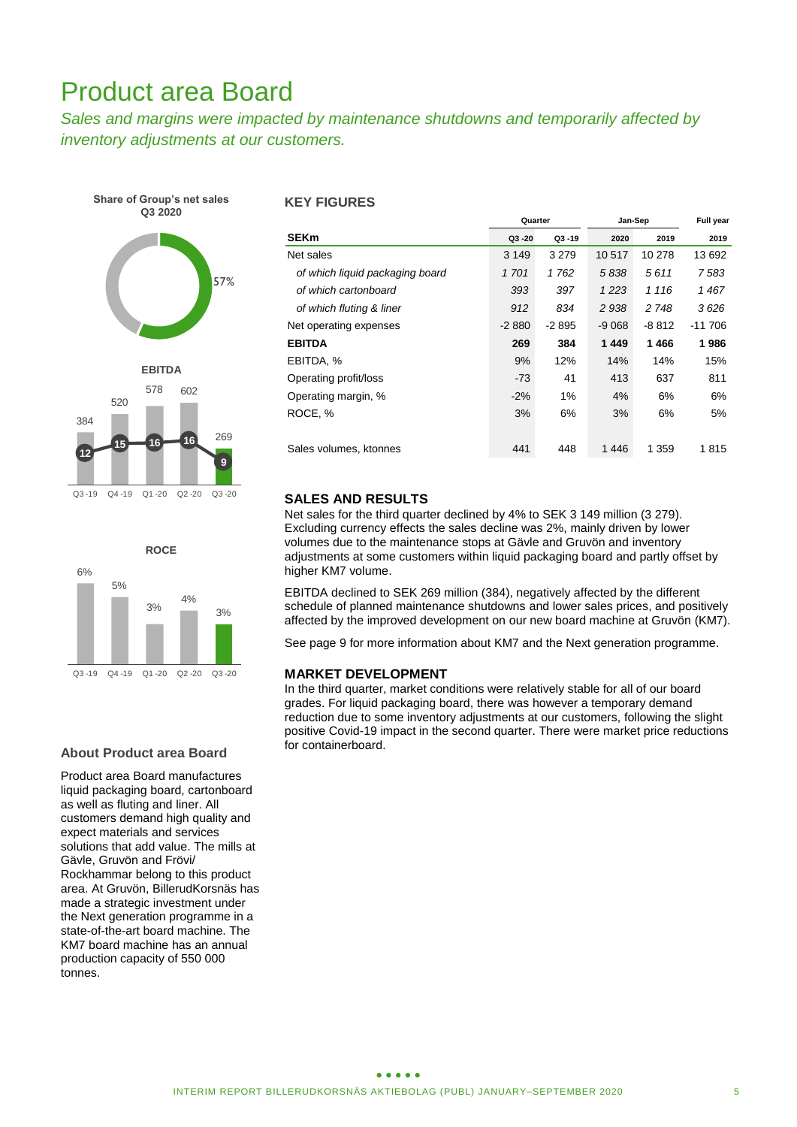# Product area Board

*Sales and margins were impacted by maintenance shutdowns and temporarily affected by inventory adjustments at our customers.* 





#### **About Product area Board**

Product area Board manufactures liquid packaging board, cartonboard as well as fluting and liner. All customers demand high quality and expect materials and services solutions that add value. The mills at Gävle, Gruvön and Frövi/ Rockhammar belong to this product area. At Gruvön, BillerudKorsnäs has made a strategic investment under the Next generation programme in a state-of-the-art board machine. The KM7 board machine has an annual production capacity of 550 000 tonnes.

### **KEY FIGURES**

|                                 | Quarter |           | Jan-Sep | Full year |          |
|---------------------------------|---------|-----------|---------|-----------|----------|
| <b>SEKm</b>                     | Q3-20   | $Q3 - 19$ | 2020    | 2019      | 2019     |
| Net sales                       | 3 1 4 9 | 3 2 7 9   | 10 517  | 10 278    | 13 692   |
| of which liquid packaging board | 1701    | 1762      | 5838    | 5611      | 7583     |
| of which cartonboard            | 393     | 397       | 1 2 2 3 | 1 1 1 6   | 1467     |
| of which fluting & liner        | 912     | 834       | 2938    | 2 748     | 3626     |
| Net operating expenses          | $-2880$ | $-2895$   | $-9068$ | -8 812    | $-11706$ |
| <b>EBITDA</b>                   | 269     | 384       | 1449    | 1466      | 1986     |
| EBITDA, %                       | 9%      | 12%       | 14%     | 14%       | 15%      |
| Operating profit/loss           | $-73$   | 41        | 413     | 637       | 811      |
| Operating margin, %             | $-2%$   | 1%        | 4%      | 6%        | 6%       |
| ROCE, %                         | 3%      | 6%        | 3%      | 6%        | 5%       |
|                                 |         |           |         |           |          |
| Sales volumes, ktonnes          | 441     | 448       | 1446    | 1 359     | 1815     |

### **SALES AND RESULTS**

Net sales for the third quarter declined by 4% to SEK 3 149 million (3 279). Excluding currency effects the sales decline was 2%, mainly driven by lower volumes due to the maintenance stops at Gävle and Gruvön and inventory adjustments at some customers within liquid packaging board and partly offset by higher KM7 volume.

EBITDA declined to SEK 269 million (384), negatively affected by the different schedule of planned maintenance shutdowns and lower sales prices, and positively affected by the improved development on our new board machine at Gruvön (KM7).

See page 9 for more information about KM7 and the Next generation programme.

#### **MARKET DEVELOPMENT**

In the third quarter, market conditions were relatively stable for all of our board grades. For liquid packaging board, there was however a temporary demand reduction due to some inventory adjustments at our customers, following the slight positive Covid-19 impact in the second quarter. There were market price reductions for containerboard.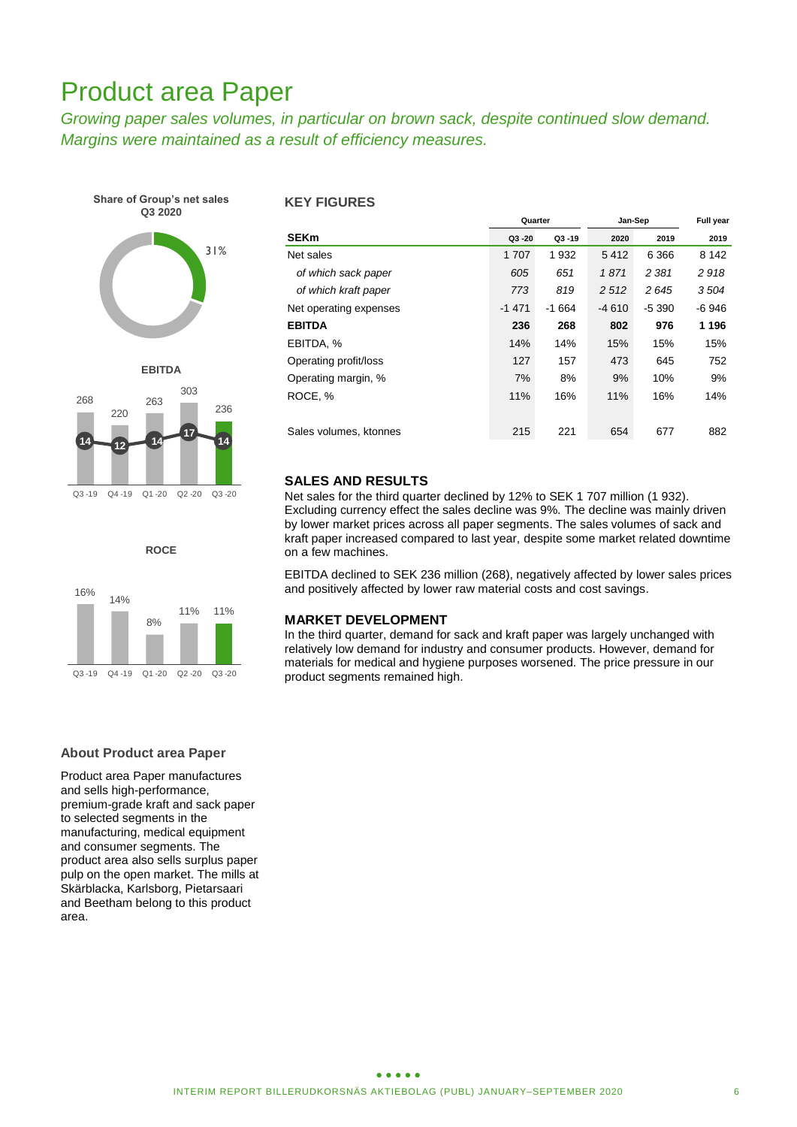# Product area Paper

*Growing paper sales volumes, in particular on brown sack, despite continued slow demand. Margins were maintained as a result of efficiency measures.* 



**ROCE**

8%

Q3 -19 Q4 -19 Q1 -20 Q2 -20 Q3 -20

11% 11%

#### **KEY FIGURES**

|                        | Quarter |           | Jan-Sep | Full year |         |
|------------------------|---------|-----------|---------|-----------|---------|
| <b>SEKm</b>            | Q3-20   | $Q3 - 19$ | 2020    | 2019      | 2019    |
| Net sales              | 1 707   | 1932      | 5412    | 6 3 6 6   | 8 1 4 2 |
| of which sack paper    | 605     | 651       | 1871    | 2 3 8 1   | 2918    |
| of which kraft paper   | 773     | 819       | 2 5 1 2 | 2645      | 3504    |
| Net operating expenses | $-1471$ | $-1664$   | -4 610  | -5 390    | -6 946  |
| <b>EBITDA</b>          | 236     | 268       | 802     | 976       | 1 1 9 6 |
| EBITDA, %              | 14%     | 14%       | 15%     | 15%       | 15%     |
| Operating profit/loss  | 127     | 157       | 473     | 645       | 752     |
| Operating margin, %    | 7%      | 8%        | 9%      | 10%       | 9%      |
| ROCE, %                | 11%     | 16%       | 11%     | 16%       | 14%     |
|                        |         |           |         |           |         |
| Sales volumes, ktonnes | 215     | 221       | 654     | 677       | 882     |

### **SALES AND RESULTS**

Net sales for the third quarter declined by 12% to SEK 1 707 million (1 932). Excluding currency effect the sales decline was 9%. The decline was mainly driven by lower market prices across all paper segments. The sales volumes of sack and kraft paper increased compared to last year, despite some market related downtime on a few machines.

EBITDA declined to SEK 236 million (268), negatively affected by lower sales prices and positively affected by lower raw material costs and cost savings.

### **MARKET DEVELOPMENT**

In the third quarter, demand for sack and kraft paper was largely unchanged with relatively low demand for industry and consumer products. However, demand for materials for medical and hygiene purposes worsened. The price pressure in our product segments remained high.

16%

14%

### **About Product area Paper**

Product area Paper manufactures and sells high-performance, premium-grade kraft and sack paper to selected segments in the manufacturing, medical equipment and consumer segments. The product area also sells surplus paper pulp on the open market. The mills at Skärblacka, Karlsborg, Pietarsaari and Beetham belong to this product area.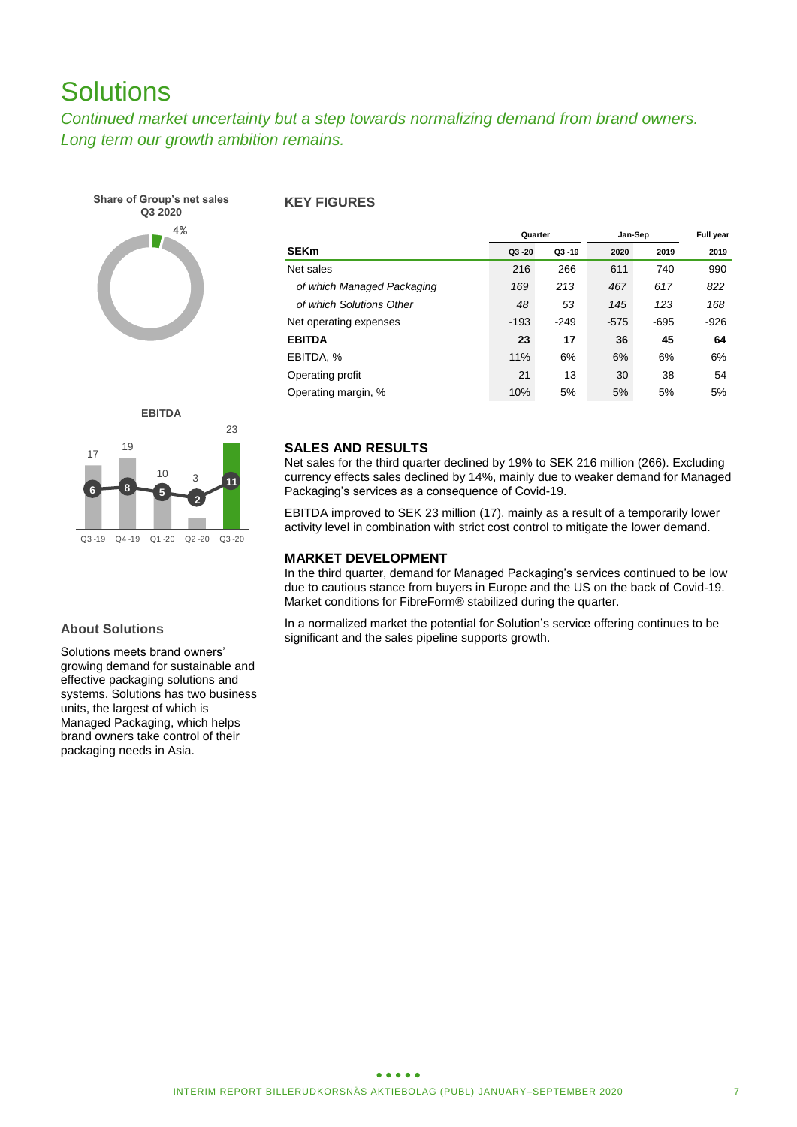# **Solutions**

*Continued market uncertainty but a step towards normalizing demand from brand owners. Long term our growth ambition remains.*



### **KEY FIGURES**

|                            | Quarter   |           | Jan-Sep | Full year |        |
|----------------------------|-----------|-----------|---------|-----------|--------|
| <b>SEKm</b>                | $Q3 - 20$ | $Q3 - 19$ | 2020    | 2019      | 2019   |
| Net sales                  | 216       | 266       | 611     | 740       | 990    |
| of which Managed Packaging | 169       | 213       | 467     | 617       | 822    |
| of which Solutions Other   | 48        | 53        | 145     | 123       | 168    |
| Net operating expenses     | $-193$    | $-249$    | $-575$  | $-695$    | $-926$ |
| <b>EBITDA</b>              | 23        | 17        | 36      | 45        | 64     |
| EBITDA, %                  | 11%       | 6%        | 6%      | 6%        | 6%     |
| Operating profit           | 21        | 13        | 30      | 38        | 54     |
| Operating margin, %        | 10%       | 5%        | 5%      | 5%        | 5%     |



### **About Solutions**

Solutions meets brand owners' growing demand for sustainable and effective packaging solutions and systems. Solutions has two business units, the largest of which is Managed Packaging, which helps brand owners take control of their packaging needs in Asia.

### **SALES AND RESULTS**

Net sales for the third quarter declined by 19% to SEK 216 million (266). Excluding currency effects sales declined by 14%, mainly due to weaker demand for Managed Packaging's services as a consequence of Covid-19.

EBITDA improved to SEK 23 million (17), mainly as a result of a temporarily lower activity level in combination with strict cost control to mitigate the lower demand.

### **MARKET DEVELOPMENT**

In the third quarter, demand for Managed Packaging's services continued to be low due to cautious stance from buyers in Europe and the US on the back of Covid-19. Market conditions for FibreForm® stabilized during the quarter.

In a normalized market the potential for Solution's service offering continues to be significant and the sales pipeline supports growth.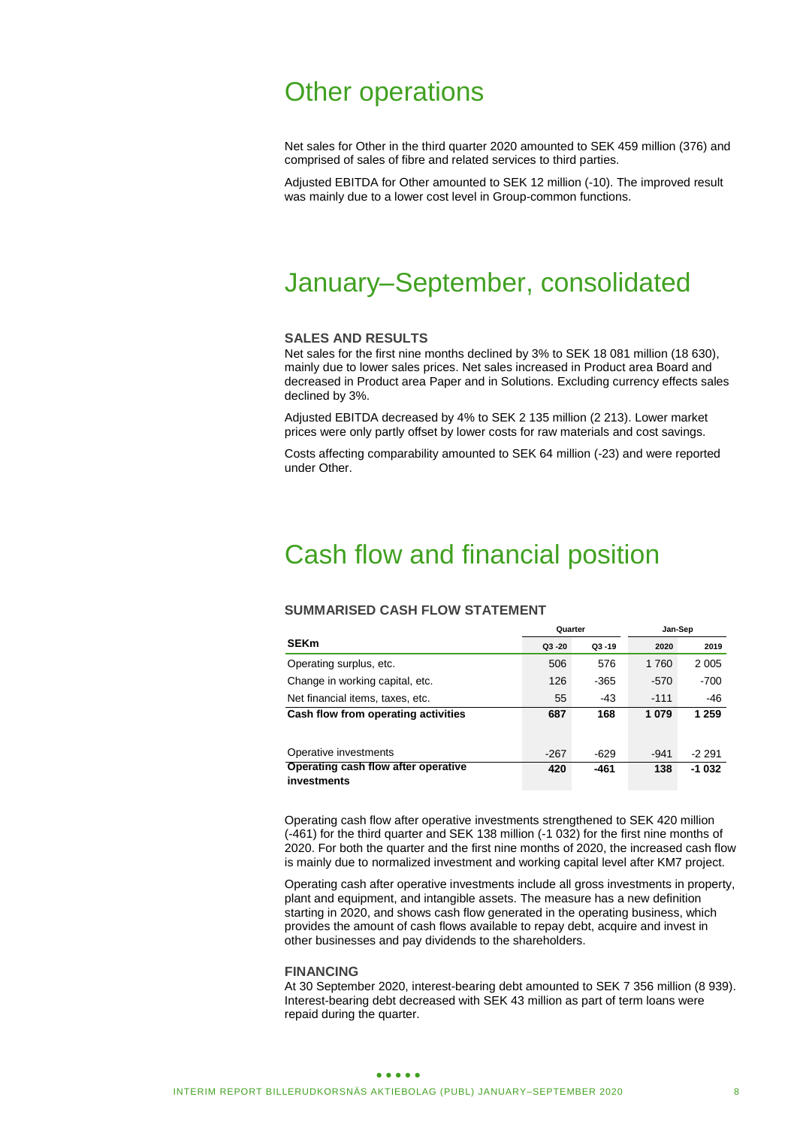# Other operations

Net sales for Other in the third quarter 2020 amounted to SEK 459 million (376) and comprised of sales of fibre and related services to third parties.

Adjusted EBITDA for Other amounted to SEK 12 million (-10). The improved result was mainly due to a lower cost level in Group-common functions.

# January–September, consolidated

#### **SALES AND RESULTS**

Net sales for the first nine months declined by 3% to SEK 18 081 million (18 630), mainly due to lower sales prices. Net sales increased in Product area Board and decreased in Product area Paper and in Solutions. Excluding currency effects sales declined by 3%.

Adjusted EBITDA decreased by 4% to SEK 2 135 million (2 213). Lower market prices were only partly offset by lower costs for raw materials and cost savings.

Costs affecting comparability amounted to SEK 64 million (-23) and were reported under Other.

# Cash flow and financial position

#### **SUMMARISED CASH FLOW STATEMENT**

|                                                    | Quarter   |           | Jan-Sep |         |  |
|----------------------------------------------------|-----------|-----------|---------|---------|--|
| <b>SEKm</b>                                        | $Q3 - 20$ | $Q3 - 19$ | 2020    | 2019    |  |
| Operating surplus, etc.                            | 506       | 576       | 1760    | 2 0 0 5 |  |
| Change in working capital, etc.                    | 126       | $-365$    | $-570$  | $-700$  |  |
| Net financial items, taxes, etc.                   | 55        | $-43$     | $-111$  | -46     |  |
| Cash flow from operating activities                | 687       | 168       | 1079    | 1 259   |  |
|                                                    |           |           |         |         |  |
| Operative investments                              | $-267$    | $-629$    | $-941$  | -2 291  |  |
| Operating cash flow after operative<br>investments | 420       | -461      | 138     | $-1032$ |  |

Operating cash flow after operative investments strengthened to SEK 420 million (-461) for the third quarter and SEK 138 million (-1 032) for the first nine months of 2020. For both the quarter and the first nine months of 2020, the increased cash flow is mainly due to normalized investment and working capital level after KM7 project.

Operating cash after operative investments include all gross investments in property, plant and equipment, and intangible assets. The measure has a new definition starting in 2020, and shows cash flow generated in the operating business, which provides the amount of cash flows available to repay debt, acquire and invest in other businesses and pay dividends to the shareholders.

#### **FINANCING**

At 30 September 2020, interest-bearing debt amounted to SEK 7 356 million (8 939). Interest-bearing debt decreased with SEK 43 million as part of term loans were repaid during the quarter.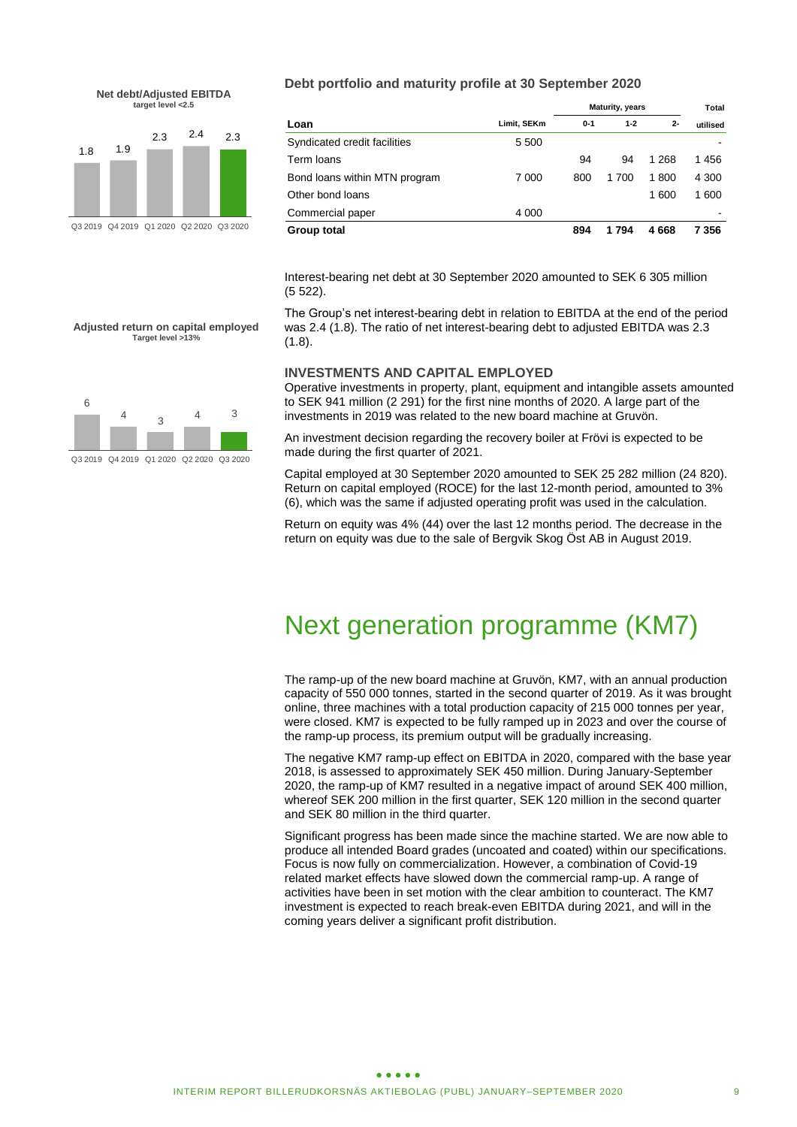



**Debt portfolio and maturity profile at 30 September 2020**

|                               |             | <b>Maturity, years</b> | Total   |       |          |
|-------------------------------|-------------|------------------------|---------|-------|----------|
| Loan                          | Limit, SEKm | $0 - 1$                | $1 - 2$ | $2 -$ | utilised |
| Syndicated credit facilities  | 5 500       |                        |         |       |          |
| Term Ioans                    |             | 94                     | 94      | 1 268 | 1456     |
| Bond loans within MTN program | 7 000       | 800                    | 1 700   | 1800  | 4 300    |
| Other bond loans              |             |                        |         | 1 600 | 1 600    |
| Commercial paper              | 4 0 0 0     |                        |         |       |          |
| Group total                   |             | 894                    | 794     | 4668  | 7 356    |

Interest-bearing net debt at 30 September 2020 amounted to SEK 6 305 million (5 522).

The Group's net interest-bearing debt in relation to EBITDA at the end of the period was 2.4 (1.8). The ratio of net interest-bearing debt to adjusted EBITDA was 2.3 (1.8).

### **INVESTMENTS AND CAPITAL EMPLOYED**

Operative investments in property, plant, equipment and intangible assets amounted to SEK 941 million (2 291) for the first nine months of 2020. A large part of the investments in 2019 was related to the new board machine at Gruvön.

An investment decision regarding the recovery boiler at Frövi is expected to be made during the first quarter of 2021.

Capital employed at 30 September 2020 amounted to SEK 25 282 million (24 820). Return on capital employed (ROCE) for the last 12-month period, amounted to 3% (6), which was the same if adjusted operating profit was used in the calculation.

Return on equity was 4% (44) over the last 12 months period. The decrease in the return on equity was due to the sale of Bergvik Skog Öst AB in August 2019.

# Next generation programme (KM7)

The ramp-up of the new board machine at Gruvön, KM7, with an annual production capacity of 550 000 tonnes, started in the second quarter of 2019. As it was brought online, three machines with a total production capacity of 215 000 tonnes per year, were closed. KM7 is expected to be fully ramped up in 2023 and over the course of the ramp-up process, its premium output will be gradually increasing.

The negative KM7 ramp-up effect on EBITDA in 2020, compared with the base year 2018, is assessed to approximately SEK 450 million. During January-September 2020, the ramp-up of KM7 resulted in a negative impact of around SEK 400 million, whereof SEK 200 million in the first quarter, SEK 120 million in the second quarter and SEK 80 million in the third quarter.

Significant progress has been made since the machine started. We are now able to produce all intended Board grades (uncoated and coated) within our specifications. Focus is now fully on commercialization. However, a combination of Covid-19 related market effects have slowed down the commercial ramp-up. A range of activities have been in set motion with the clear ambition to counteract. The KM7 investment is expected to reach break-even EBITDA during 2021, and will in the coming years deliver a significant profit distribution.



**Adjusted return on capital employed Target level >13%**

Q3 2019 Q4 2019 Q1 2020 Q2 2020 Q3 2020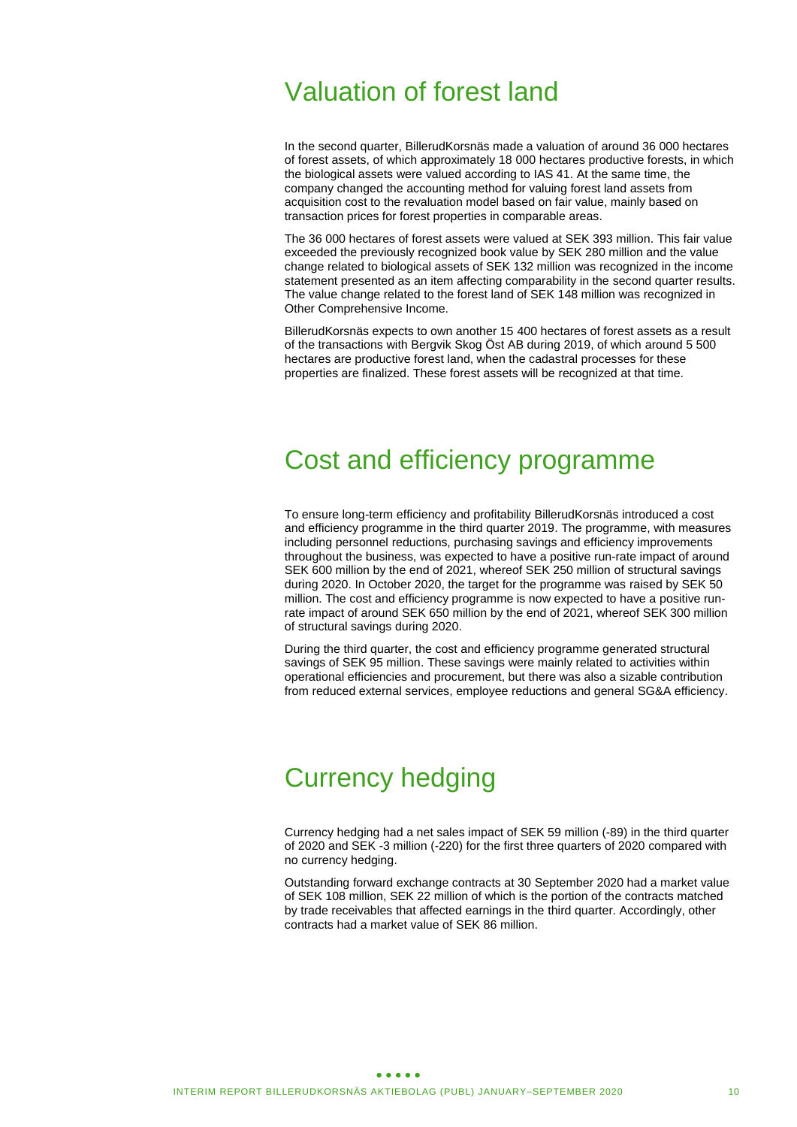# Valuation of forest land

In the second quarter, BillerudKorsnäs made a valuation of around 36 000 hectares of forest assets, of which approximately 18 000 hectares productive forests, in which the biological assets were valued according to IAS 41. At the same time, the company changed the accounting method for valuing forest land assets from acquisition cost to the revaluation model based on fair value, mainly based on transaction prices for forest properties in comparable areas.

The 36 000 hectares of forest assets were valued at SEK 393 million. This fair value exceeded the previously recognized book value by SEK 280 million and the value change related to biological assets of SEK 132 million was recognized in the income statement presented as an item affecting comparability in the second quarter results. The value change related to the forest land of SEK 148 million was recognized in Other Comprehensive Income.

BillerudKorsnäs expects to own another 15 400 hectares of forest assets as a result of the transactions with Bergvik Skog Öst AB during 2019, of which around 5 500 hectares are productive forest land, when the cadastral processes for these properties are finalized. These forest assets will be recognized at that time.

# Cost and efficiency programme

To ensure long-term efficiency and profitability BillerudKorsnäs introduced a cost and efficiency programme in the third quarter 2019. The programme, with measures including personnel reductions, purchasing savings and efficiency improvements throughout the business, was expected to have a positive run-rate impact of around SEK 600 million by the end of 2021, whereof SEK 250 million of structural savings during 2020. In October 2020, the target for the programme was raised by SEK 50 million. The cost and efficiency programme is now expected to have a positive runrate impact of around SEK 650 million by the end of 2021, whereof SEK 300 million of structural savings during 2020.

During the third quarter, the cost and efficiency programme generated structural savings of SEK 95 million. These savings were mainly related to activities within operational efficiencies and procurement, but there was also a sizable contribution from reduced external services, employee reductions and general SG&A efficiency.

# Currency hedging

Currency hedging had a net sales impact of SEK 59 million (-89) in the third quarter of 2020 and SEK -3 million (-220) for the first three quarters of 2020 compared with no currency hedging.

Outstanding forward exchange contracts at 30 September 2020 had a market value of SEK 108 million, SEK 22 million of which is the portion of the contracts matched by trade receivables that affected earnings in the third quarter. Accordingly, other contracts had a market value of SEK 86 million.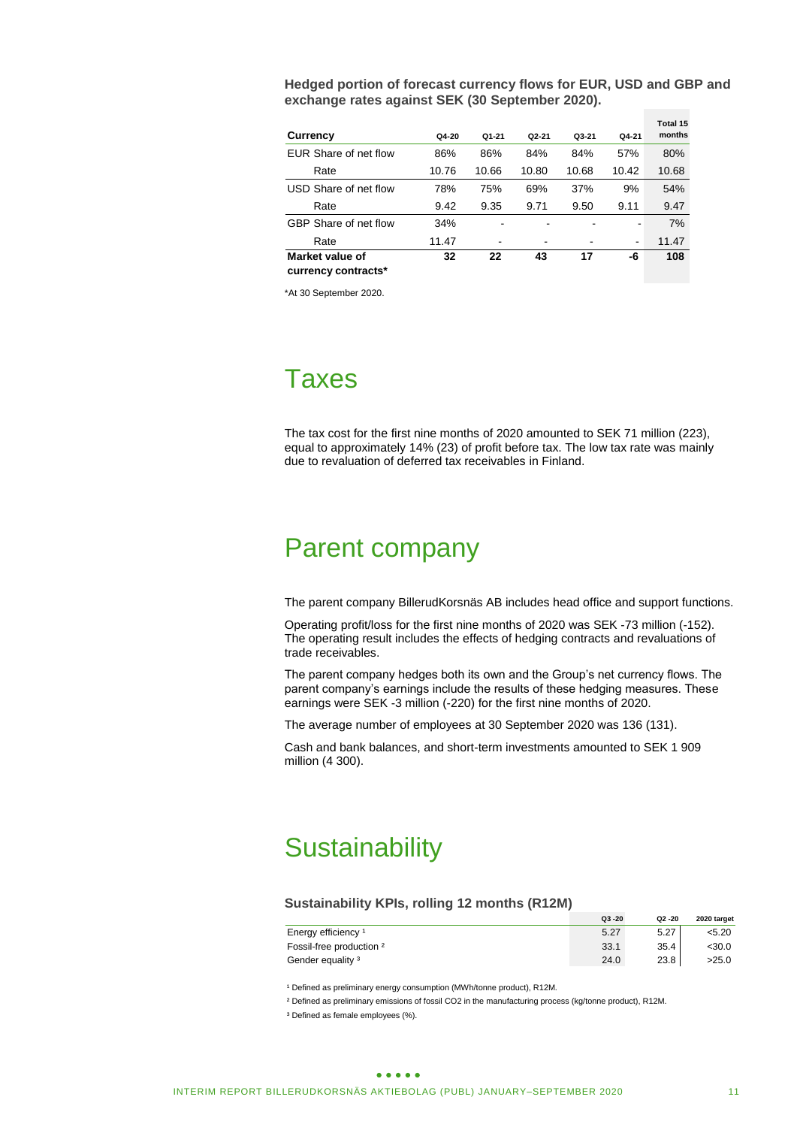**Hedged portion of forecast currency flows for EUR, USD and GBP and exchange rates against SEK (30 September 2020).**

|                       |       |       |           |       |       | Total 15 |
|-----------------------|-------|-------|-----------|-------|-------|----------|
| Currency              | Q4-20 | Q1-21 | $Q2 - 21$ | Q3-21 | Q4-21 | months   |
| EUR Share of net flow | 86%   | 86%   | 84%       | 84%   | 57%   | 80%      |
| Rate                  | 10.76 | 10.66 | 10.80     | 10.68 | 10.42 | 10.68    |
| USD Share of net flow | 78%   | 75%   | 69%       | 37%   | 9%    | 54%      |
| Rate                  | 9.42  | 9.35  | 9.71      | 9.50  | 9.11  | 9.47     |
| GBP Share of net flow | 34%   |       |           |       |       | 7%       |
| Rate                  | 11.47 |       | -         |       | ٠     | 11.47    |
| Market value of       | 32    | 22    | 43        | 17    | -6    | 108      |
| currency contracts*   |       |       |           |       |       |          |

\*At 30 September 2020.

# Taxes

The tax cost for the first nine months of 2020 amounted to SEK 71 million (223), equal to approximately 14% (23) of profit before tax. The low tax rate was mainly due to revaluation of deferred tax receivables in Finland.

# Parent company

The parent company BillerudKorsnäs AB includes head office and support functions.

Operating profit/loss for the first nine months of 2020 was SEK -73 million (-152). The operating result includes the effects of hedging contracts and revaluations of trade receivables.

The parent company hedges both its own and the Group's net currency flows. The parent company's earnings include the results of these hedging measures. These earnings were SEK -3 million (-220) for the first nine months of 2020.

The average number of employees at 30 September 2020 was 136 (131).

Cash and bank balances, and short-term investments amounted to SEK 1 909 million (4 300).

# **Sustainability**

#### **Sustainability KPIs, rolling 12 months (R12M)**

|                                | $Q3 - 20$ | $Q2 - 20$ | 2020 target |
|--------------------------------|-----------|-----------|-------------|
| Energy efficiency <sup>1</sup> | 5.27      | 5.27      | < 5.20      |
| Fossil-free production 2       | 33.1      | 35.4      | <30.0       |
| Gender equality <sup>3</sup>   | 24.0      | 23.8      | >25.0       |

<sup>1</sup> Defined as preliminary energy consumption (MWh/tonne product), R12M.

² Defined as preliminary emissions of fossil CO2 in the manufacturing process (kg/tonne product), R12M.

<sup>3</sup> Defined as female employees (%).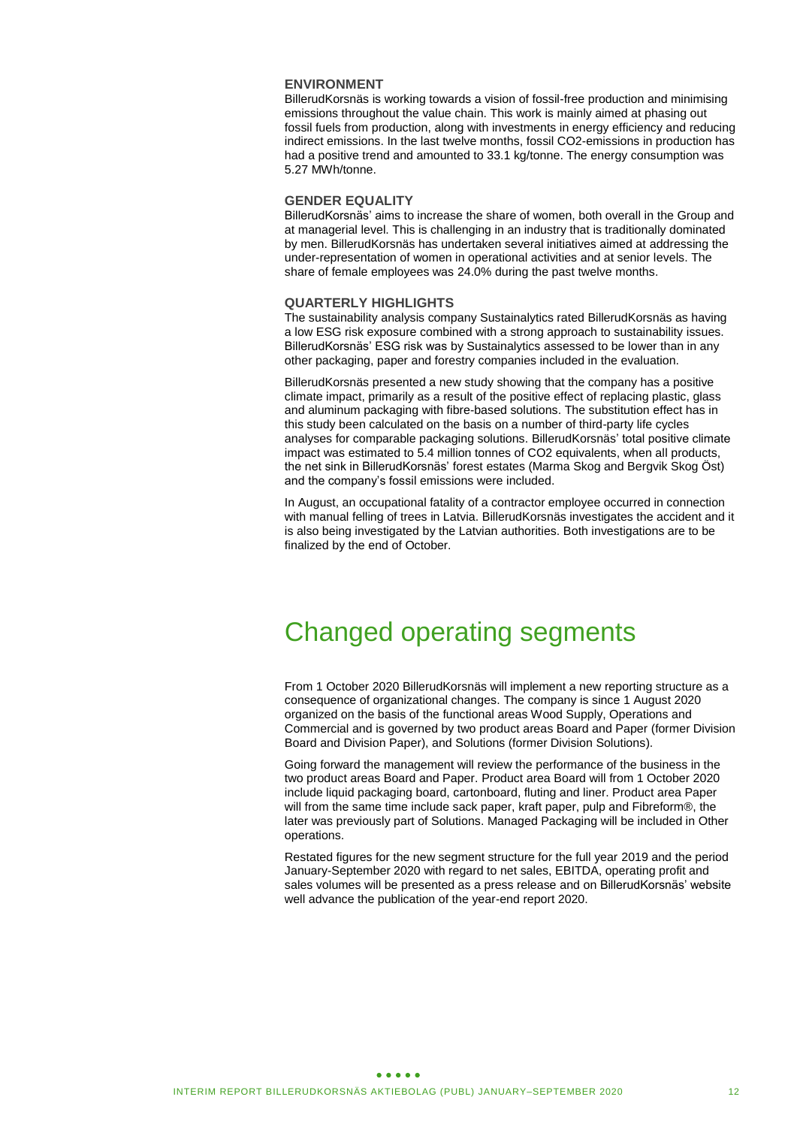### **ENVIRONMENT**

BillerudKorsnäs is working towards a vision of fossil-free production and minimising emissions throughout the value chain. This work is mainly aimed at phasing out fossil fuels from production, along with investments in energy efficiency and reducing indirect emissions. In the last twelve months, fossil CO2-emissions in production has had a positive trend and amounted to 33.1 kg/tonne. The energy consumption was 5.27 MWh/tonne.

### **GENDER EQUALITY**

BillerudKorsnäs' aims to increase the share of women, both overall in the Group and at managerial level. This is challenging in an industry that is traditionally dominated by men. BillerudKorsnäs has undertaken several initiatives aimed at addressing the under-representation of women in operational activities and at senior levels. The share of female employees was 24.0% during the past twelve months.

#### **QUARTERLY HIGHLIGHTS**

The sustainability analysis company Sustainalytics rated BillerudKorsnäs as having a low ESG risk exposure combined with a strong approach to sustainability issues. BillerudKorsnäs' ESG risk was by Sustainalytics assessed to be lower than in any other packaging, paper and forestry companies included in the evaluation.

BillerudKorsnäs presented a new study showing that the company has a positive climate impact, primarily as a result of the positive effect of replacing plastic, glass and aluminum packaging with fibre-based solutions. The substitution effect has in this study been calculated on the basis on a number of third-party life cycles analyses for comparable packaging solutions. BillerudKorsnäs' total positive climate impact was estimated to 5.4 million tonnes of CO2 equivalents, when all products, the net sink in BillerudKorsnäs' forest estates (Marma Skog and Bergvik Skog Öst) and the company's fossil emissions were included.

In August, an occupational fatality of a contractor employee occurred in connection with manual felling of trees in Latvia. BillerudKorsnäs investigates the accident and it is also being investigated by the Latvian authorities. Both investigations are to be finalized by the end of October.

# Changed operating segments

From 1 October 2020 BillerudKorsnäs will implement a new reporting structure as a consequence of organizational changes. The company is since 1 August 2020 organized on the basis of the functional areas Wood Supply, Operations and Commercial and is governed by two product areas Board and Paper (former Division Board and Division Paper), and Solutions (former Division Solutions).

Going forward the management will review the performance of the business in the two product areas Board and Paper. Product area Board will from 1 October 2020 include liquid packaging board, cartonboard, fluting and liner. Product area Paper will from the same time include sack paper, kraft paper, pulp and Fibreform®, the later was previously part of Solutions. Managed Packaging will be included in Other operations.

Restated figures for the new segment structure for the full year 2019 and the period January-September 2020 with regard to net sales, EBITDA, operating profit and sales volumes will be presented as a press release and on BillerudKorsnäs' website well advance the publication of the year-end report 2020.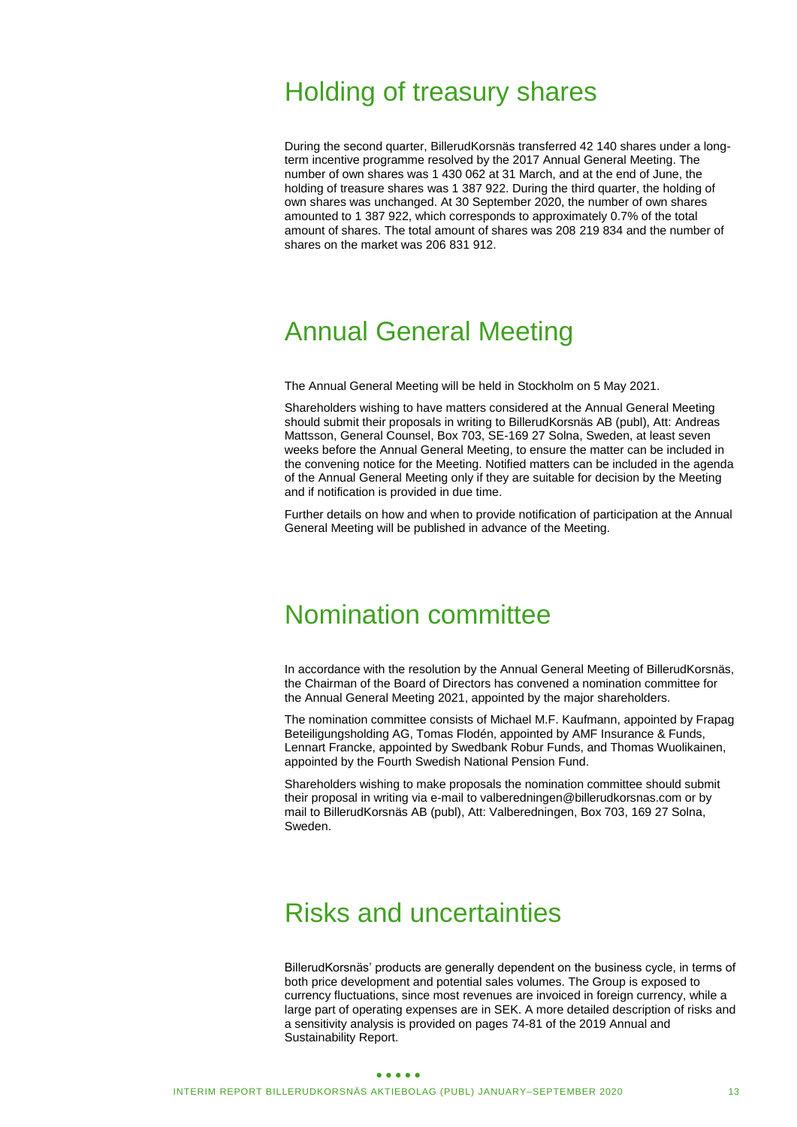# Holding of treasury shares

During the second quarter, BillerudKorsnäs transferred 42 140 shares under a longterm incentive programme resolved by the 2017 Annual General Meeting. The number of own shares was 1 430 062 at 31 March, and at the end of June, the holding of treasure shares was 1 387 922. During the third quarter, the holding of own shares was unchanged. At 30 September 2020, the number of own shares amounted to 1 387 922, which corresponds to approximately 0.7% of the total amount of shares. The total amount of shares was 208 219 834 and the number of shares on the market was 206 831 912.

# Annual General Meeting

The Annual General Meeting will be held in Stockholm on 5 May 2021.

Shareholders wishing to have matters considered at the Annual General Meeting should submit their proposals in writing to BillerudKorsnäs AB (publ), Att: Andreas Mattsson, General Counsel, Box 703, SE-169 27 Solna, Sweden, at least seven weeks before the Annual General Meeting, to ensure the matter can be included in the convening notice for the Meeting. Notified matters can be included in the agenda of the Annual General Meeting only if they are suitable for decision by the Meeting and if notification is provided in due time.

Further details on how and when to provide notification of participation at the Annual General Meeting will be published in advance of the Meeting.

# Nomination committee

In accordance with the resolution by the Annual General Meeting of BillerudKorsnäs, the Chairman of the Board of Directors has convened a nomination committee for the Annual General Meeting 2021, appointed by the major shareholders.

The nomination committee consists of Michael M.F. Kaufmann, appointed by Frapag Beteiligungsholding AG, Tomas Flodén, appointed by AMF Insurance & Funds, Lennart Francke, appointed by Swedbank Robur Funds, and Thomas Wuolikainen, appointed by the Fourth Swedish National Pension Fund.

Shareholders wishing to make proposals the nomination committee should submit their proposal in writing via e-mail to valberedningen@billerudkorsnas.com or by mail to BillerudKorsnäs AB (publ), Att: Valberedningen, Box 703, 169 27 Solna, Sweden.

# Risks and uncertainties

BillerudKorsnäs' products are generally dependent on the business cycle, in terms of both price development and potential sales volumes. The Group is exposed to currency fluctuations, since most revenues are invoiced in foreign currency, while a large part of operating expenses are in SEK. A more detailed description of risks and a sensitivity analysis is provided on pages 74-81 of the 2019 Annual and Sustainability Report.

#### $\bullet\bullet\bullet\bullet\bullet$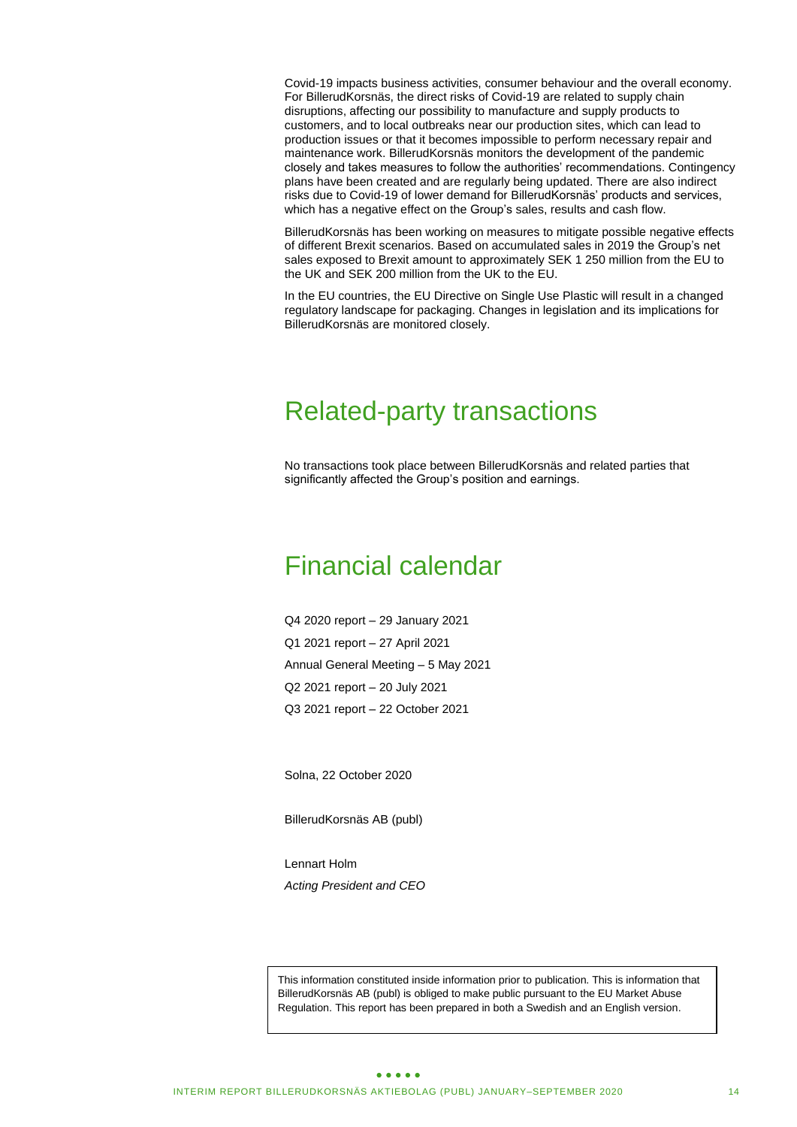Covid-19 impacts business activities, consumer behaviour and the overall economy. For BillerudKorsnäs, the direct risks of Covid-19 are related to supply chain disruptions, affecting our possibility to manufacture and supply products to customers, and to local outbreaks near our production sites, which can lead to production issues or that it becomes impossible to perform necessary repair and maintenance work. BillerudKorsnäs monitors the development of the pandemic closely and takes measures to follow the authorities' recommendations. Contingency plans have been created and are regularly being updated. There are also indirect risks due to Covid-19 of lower demand for BillerudKorsnäs' products and services, which has a negative effect on the Group's sales, results and cash flow.

BillerudKorsnäs has been working on measures to mitigate possible negative effects of different Brexit scenarios. Based on accumulated sales in 2019 the Group's net sales exposed to Brexit amount to approximately SEK 1 250 million from the EU to the UK and SEK 200 million from the UK to the EU.

In the EU countries, the EU Directive on Single Use Plastic will result in a changed regulatory landscape for packaging. Changes in legislation and its implications for BillerudKorsnäs are monitored closely.

# Related-party transactions

No transactions took place between BillerudKorsnäs and related parties that significantly affected the Group's position and earnings.

# Financial calendar

Q4 2020 report – 29 January 2021 Q1 2021 report – 27 April 2021 Annual General Meeting – 5 May 2021 Q2 2021 report – 20 July 2021 Q3 2021 report – 22 October 2021

Solna, 22 October 2020

BillerudKorsnäs AB (publ)

Lennart Holm *Acting President and CEO* 

This information constituted inside information prior to publication. This is information that BillerudKorsnäs AB (publ) is obliged to make public pursuant to the EU Market Abuse Regulation. This report has been prepared in both a Swedish and an English version.

#### $\bullet\bullet\bullet\bullet\bullet$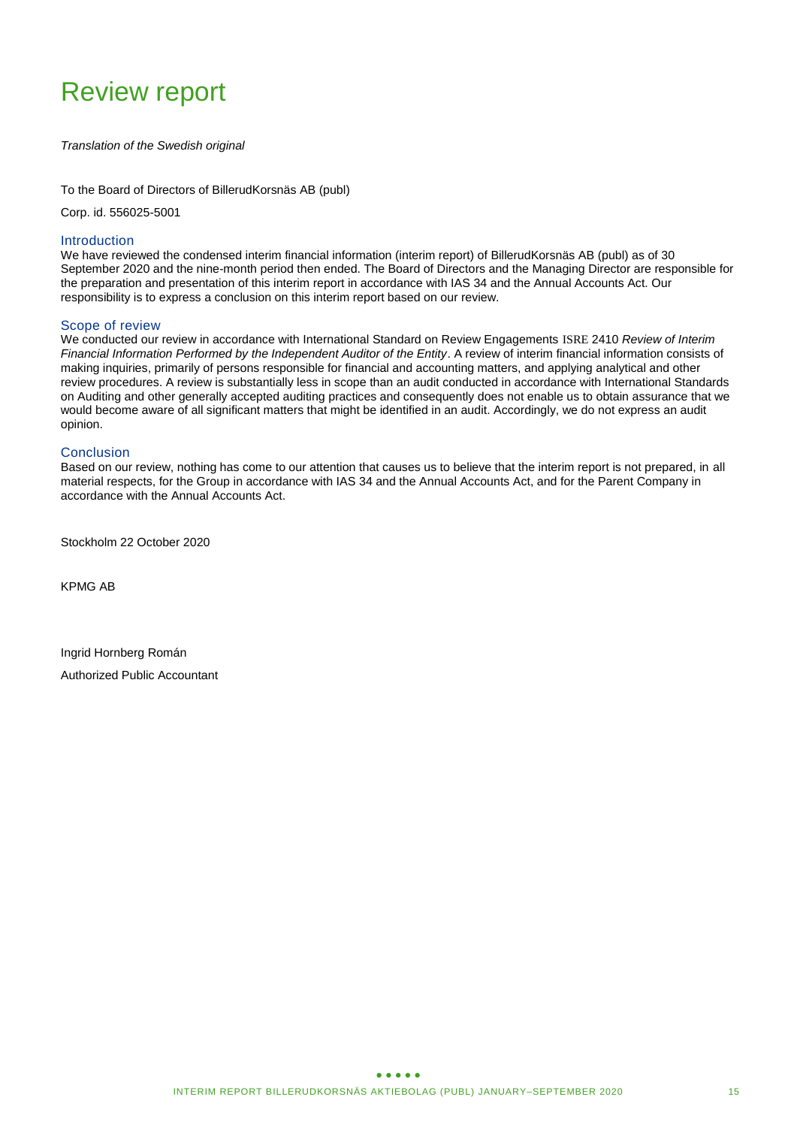# Review report

#### *Translation of the Swedish original*

To the Board of Directors of BillerudKorsnäs AB (publ)

Corp. id. 556025-5001

### Introduction

We have reviewed the condensed interim financial information (interim report) of BillerudKorsnäs AB (publ) as of 30 September 2020 and the nine-month period then ended. The Board of Directors and the Managing Director are responsible for the preparation and presentation of this interim report in accordance with IAS 34 and the Annual Accounts Act. Our responsibility is to express a conclusion on this interim report based on our review.

#### Scope of review

We conducted our review in accordance with International Standard on Review Engagements ISRE 2410 *Review of Interim Financial Information Performed by the Independent Auditor of the Entity*. A review of interim financial information consists of making inquiries, primarily of persons responsible for financial and accounting matters, and applying analytical and other review procedures. A review is substantially less in scope than an audit conducted in accordance with International Standards on Auditing and other generally accepted auditing practices and consequently does not enable us to obtain assurance that we would become aware of all significant matters that might be identified in an audit. Accordingly, we do not express an audit opinion.

#### **Conclusion**

Based on our review, nothing has come to our attention that causes us to believe that the interim report is not prepared, in all material respects, for the Group in accordance with IAS 34 and the Annual Accounts Act, and for the Parent Company in accordance with the Annual Accounts Act.

Stockholm 22 October 2020

KPMG AB

Ingrid Hornberg Román Authorized Public Accountant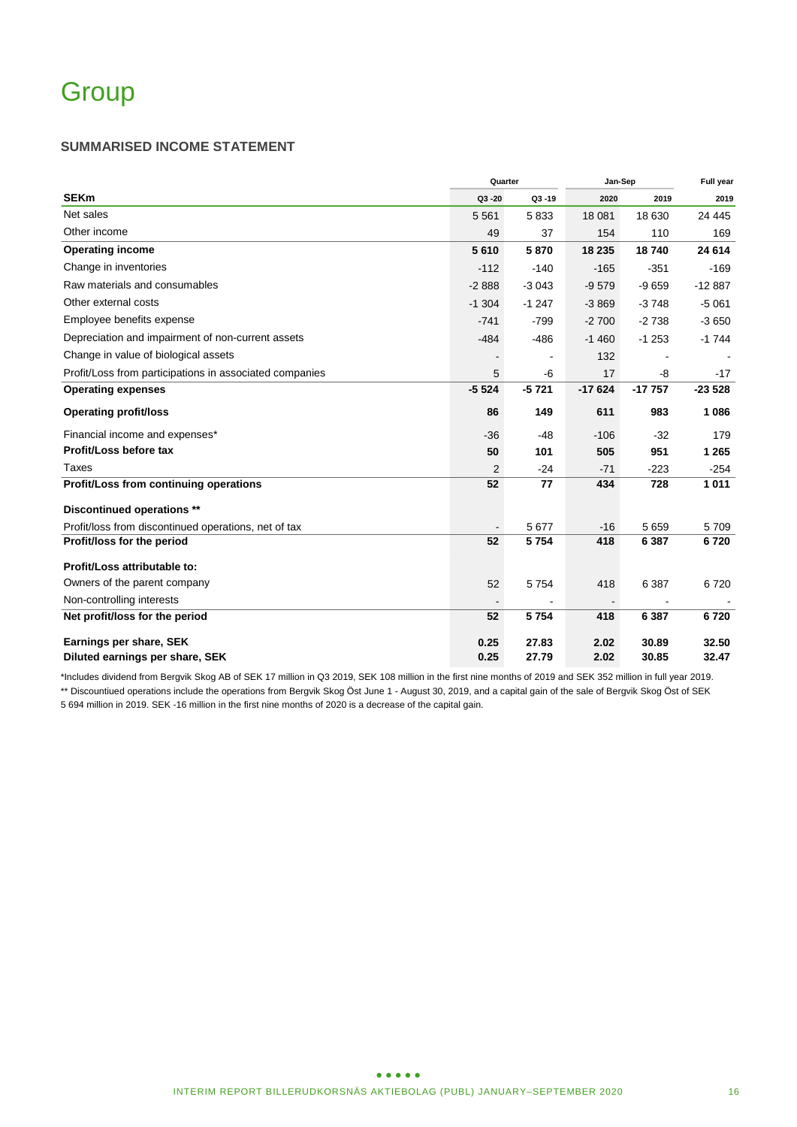### **SUMMARISED INCOME STATEMENT**

|                                                         | Quarter        | Jan-Sep   | <b>Full year</b> |          |          |
|---------------------------------------------------------|----------------|-----------|------------------|----------|----------|
| <b>SEKm</b>                                             | Q3-20          | $Q3 - 19$ | 2020             | 2019     | 2019     |
| Net sales                                               | 5 5 6 1        | 5833      | 18 081           | 18 630   | 24 4 45  |
| Other income                                            | 49             | 37        | 154              | 110      | 169      |
| <b>Operating income</b>                                 | 5610           | 5870      | 18 235           | 18740    | 24 614   |
| Change in inventories                                   | $-112$         | $-140$    | $-165$           | $-351$   | $-169$   |
| Raw materials and consumables                           | $-2888$        | $-3043$   | $-9579$          | $-9659$  | $-12887$ |
| Other external costs                                    | $-1.304$       | $-1247$   | $-3869$          | $-3748$  | $-5061$  |
| Employee benefits expense                               | $-741$         | $-799$    | $-2700$          | $-2738$  | $-3650$  |
| Depreciation and impairment of non-current assets       | $-484$         | $-486$    | $-1460$          | $-1253$  | $-1744$  |
| Change in value of biological assets                    |                |           | 132              |          |          |
| Profit/Loss from participations in associated companies | 5              | -6        | 17               | -8       | $-17$    |
| <b>Operating expenses</b>                               | $-5524$        | $-5721$   | $-17624$         | $-17757$ | $-23528$ |
| <b>Operating profit/loss</b>                            | 86             | 149       | 611              | 983      | 1 0 8 6  |
| Financial income and expenses*                          | $-36$          | $-48$     | $-106$           | $-32$    | 179      |
| Profit/Loss before tax                                  | 50             | 101       | 505              | 951      | 1 2 6 5  |
| Taxes                                                   | $\overline{2}$ | $-24$     | $-71$            | $-223$   | $-254$   |
| Profit/Loss from continuing operations                  | 52             | 77        | 434              | 728      | 1011     |
| Discontinued operations **                              |                |           |                  |          |          |
| Profit/loss from discontinued operations, net of tax    |                | 5 677     | $-16$            | 5 6 5 9  | 5709     |
| Profit/loss for the period                              | 52             | 5 7 5 4   | 418              | 6 3 8 7  | 6720     |
| Profit/Loss attributable to:                            |                |           |                  |          |          |
| Owners of the parent company                            | 52             | 5 7 5 4   | 418              | 6 3 8 7  | 6720     |
| Non-controlling interests                               |                |           |                  |          |          |
| Net profit/loss for the period                          | 52             | 5 7 5 4   | 418              | 6 3 8 7  | 6720     |
| Earnings per share, SEK                                 | 0.25           | 27.83     | 2.02             | 30.89    | 32.50    |
| Diluted earnings per share, SEK                         | 0.25           | 27.79     | 2.02             | 30.85    | 32.47    |

\*Includes dividend from Bergvik Skog AB of SEK 17 million in Q3 2019, SEK 108 million in the first nine months of 2019 and SEK 352 million in full year 2019. \*\* Discountiued operations include the operations from Bergvik Skog Öst June 1 - August 30, 2019, and a capital gain of the sale of Bergvik Skog Öst of SEK 5 694 million in 2019. SEK -16 million in the first nine months of 2020 is a decrease of the capital gain.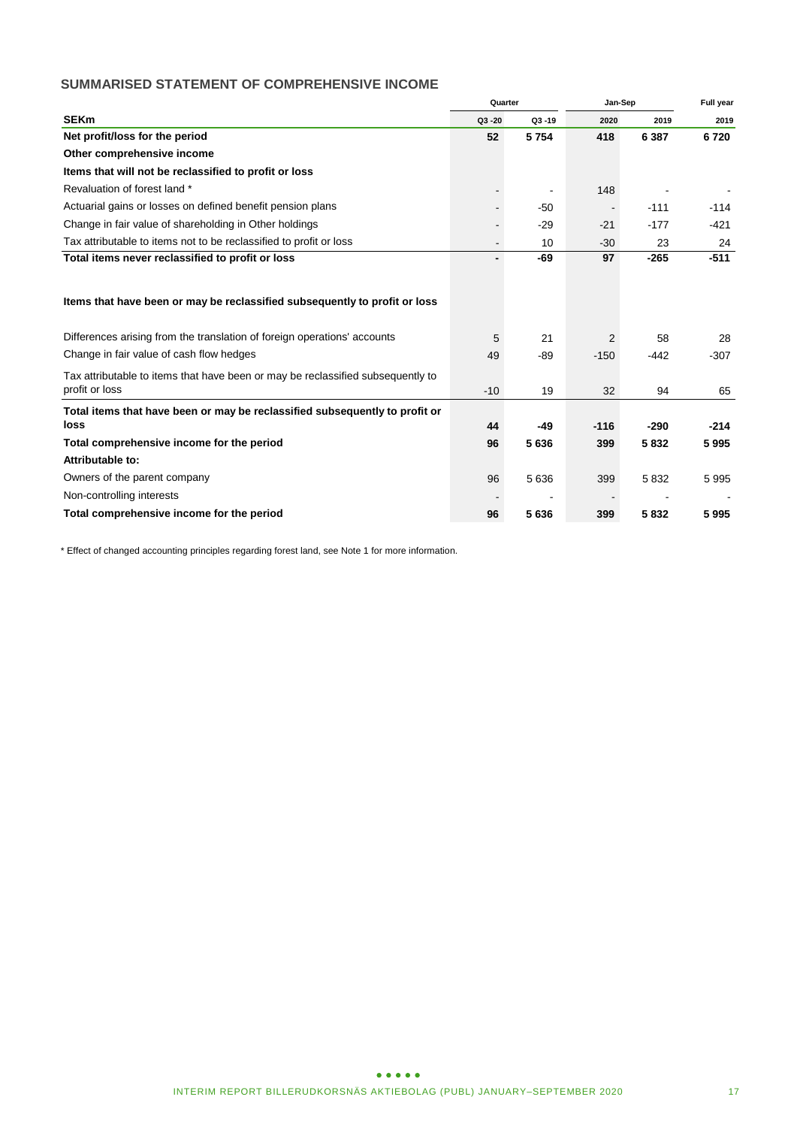# **SUMMARISED STATEMENT OF COMPREHENSIVE INCOME**

|                                                                                 |                | Quarter   |        | Jan-Sep |        |
|---------------------------------------------------------------------------------|----------------|-----------|--------|---------|--------|
| <b>SEKm</b>                                                                     | $Q3 - 20$      | $Q3 - 19$ | 2020   | 2019    | 2019   |
| Net profit/loss for the period                                                  | 52             | 5 7 5 4   | 418    | 6 3 8 7 | 6720   |
| Other comprehensive income                                                      |                |           |        |         |        |
| Items that will not be reclassified to profit or loss                           |                |           |        |         |        |
| Revaluation of forest land *                                                    |                |           | 148    |         |        |
| Actuarial gains or losses on defined benefit pension plans                      | $\blacksquare$ | $-50$     |        | $-111$  | $-114$ |
| Change in fair value of shareholding in Other holdings                          | $\blacksquare$ | $-29$     | $-21$  | $-177$  | $-421$ |
| Tax attributable to items not to be reclassified to profit or loss              | $\blacksquare$ | 10        | $-30$  | 23      | 24     |
| Total items never reclassified to profit or loss                                |                | $-69$     | 97     | $-265$  | $-511$ |
|                                                                                 |                |           |        |         |        |
| Items that have been or may be reclassified subsequently to profit or loss      |                |           |        |         |        |
| Differences arising from the translation of foreign operations' accounts        | 5              | 21        | 2      | 58      | 28     |
| Change in fair value of cash flow hedges                                        | 49             | $-89$     | $-150$ | $-442$  | $-307$ |
| Tax attributable to items that have been or may be reclassified subsequently to |                |           |        |         |        |
| profit or loss                                                                  | $-10$          | 19        | 32     | 94      | 65     |
| Total items that have been or may be reclassified subsequently to profit or     |                |           |        |         |        |
| loss                                                                            | 44             | $-49$     | $-116$ | $-290$  | $-214$ |
| Total comprehensive income for the period                                       | 96             | 5636      | 399    | 5832    | 5995   |
| Attributable to:                                                                |                |           |        |         |        |
| Owners of the parent company                                                    | 96             | 5 6 3 6   | 399    | 5832    | 5995   |
| Non-controlling interests                                                       |                |           |        |         |        |
| Total comprehensive income for the period                                       | 96             | 5636      | 399    | 5832    | 5995   |

\* Effect of changed accounting principles regarding forest land, see Note 1 for more information.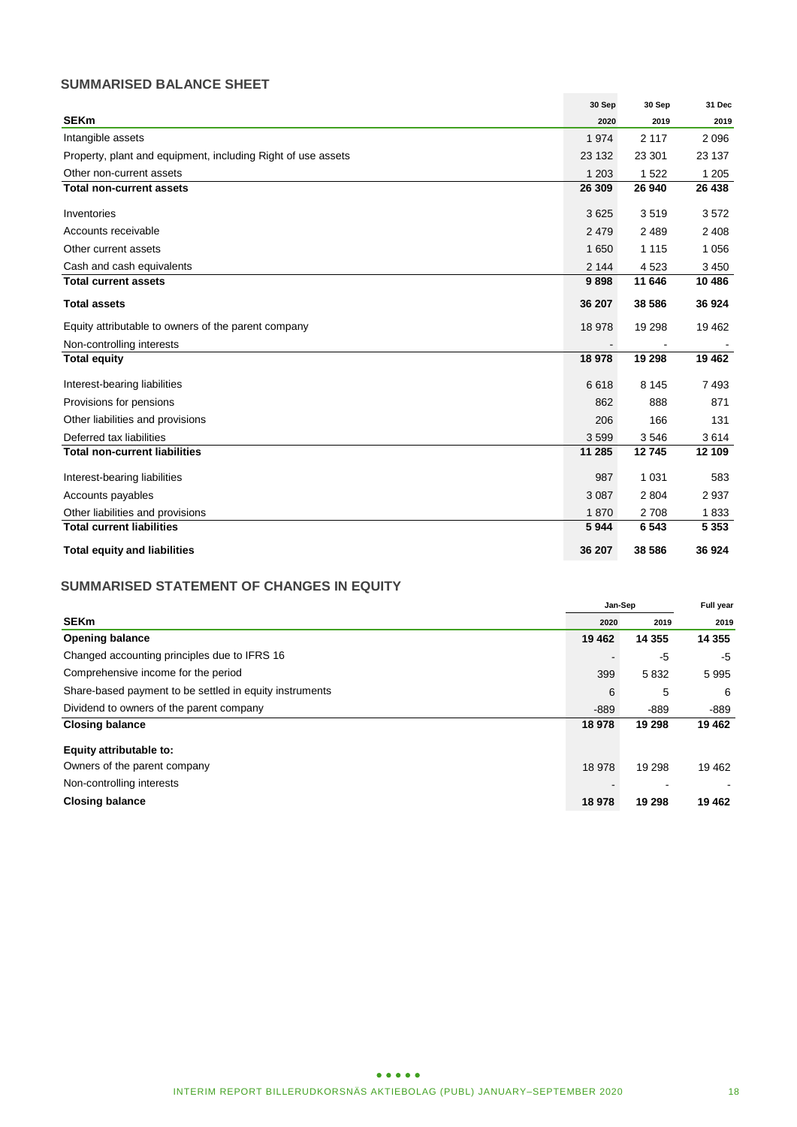# **SUMMARISED BALANCE SHEET**

|                                                              | 30 Sep  | 30 Sep  | 31 Dec  |
|--------------------------------------------------------------|---------|---------|---------|
| <b>SEKm</b>                                                  | 2020    | 2019    | 2019    |
| Intangible assets                                            | 1974    | 2 1 1 7 | 2096    |
| Property, plant and equipment, including Right of use assets | 23 132  | 23 301  | 23 137  |
| Other non-current assets                                     | 1 2 0 3 | 1 5 2 2 | 1 2 0 5 |
| <b>Total non-current assets</b>                              | 26 309  | 26 940  | 26 438  |
| Inventories                                                  | 3625    | 3519    | 3572    |
| Accounts receivable                                          | 2479    | 2 4 8 9 | 2 4 0 8 |
| Other current assets                                         | 1 6 5 0 | 1 1 1 5 | 1 0 5 6 |
| Cash and cash equivalents                                    | 2 1 4 4 | 4523    | 3 4 5 0 |
| <b>Total current assets</b>                                  | 9898    | 11 646  | 10 486  |
| <b>Total assets</b>                                          | 36 207  | 38 586  | 36 924  |
| Equity attributable to owners of the parent company          | 18 978  | 19 298  | 19 4 62 |
| Non-controlling interests                                    |         |         |         |
| <b>Total equity</b>                                          | 18978   | 19 298  | 19 4 62 |
| Interest-bearing liabilities                                 | 6618    | 8 1 4 5 | 7493    |
| Provisions for pensions                                      | 862     | 888     | 871     |
| Other liabilities and provisions                             | 206     | 166     | 131     |
| Deferred tax liabilities                                     | 3599    | 3546    | 3614    |
| <b>Total non-current liabilities</b>                         | 11 285  | 12745   | 12 109  |
| Interest-bearing liabilities                                 | 987     | 1 0 3 1 | 583     |
| Accounts payables                                            | 3 0 8 7 | 2 8 0 4 | 2937    |
| Other liabilities and provisions                             | 1870    | 2708    | 1833    |
| <b>Total current liabilities</b>                             | 5944    | 6 5 4 3 | 5 3 5 3 |
| <b>Total equity and liabilities</b>                          | 36 207  | 38 586  | 36 924  |

# **SUMMARISED STATEMENT OF CHANGES IN EQUITY**

|                                                         |         | Jan-Sep  | Full year |  |
|---------------------------------------------------------|---------|----------|-----------|--|
| <b>SEKm</b>                                             | 2020    | 2019     | 2019      |  |
| <b>Opening balance</b>                                  | 19 4 62 | 14 3 5 5 | 14 3 5 5  |  |
| Changed accounting principles due to IFRS 16            |         | -5       | -5        |  |
| Comprehensive income for the period                     | 399     | 5832     | 5995      |  |
| Share-based payment to be settled in equity instruments | 6       | 5        | -6        |  |
| Dividend to owners of the parent company                | $-889$  | $-889$   | -889      |  |
| <b>Closing balance</b>                                  | 18 978  | 19 298   | 19 4 62   |  |
| Equity attributable to:                                 |         |          |           |  |
| Owners of the parent company                            | 18 978  | 19 298   | 19462     |  |
| Non-controlling interests                               |         |          |           |  |
| <b>Closing balance</b>                                  | 18 978  | 19 298   | 19 4 62   |  |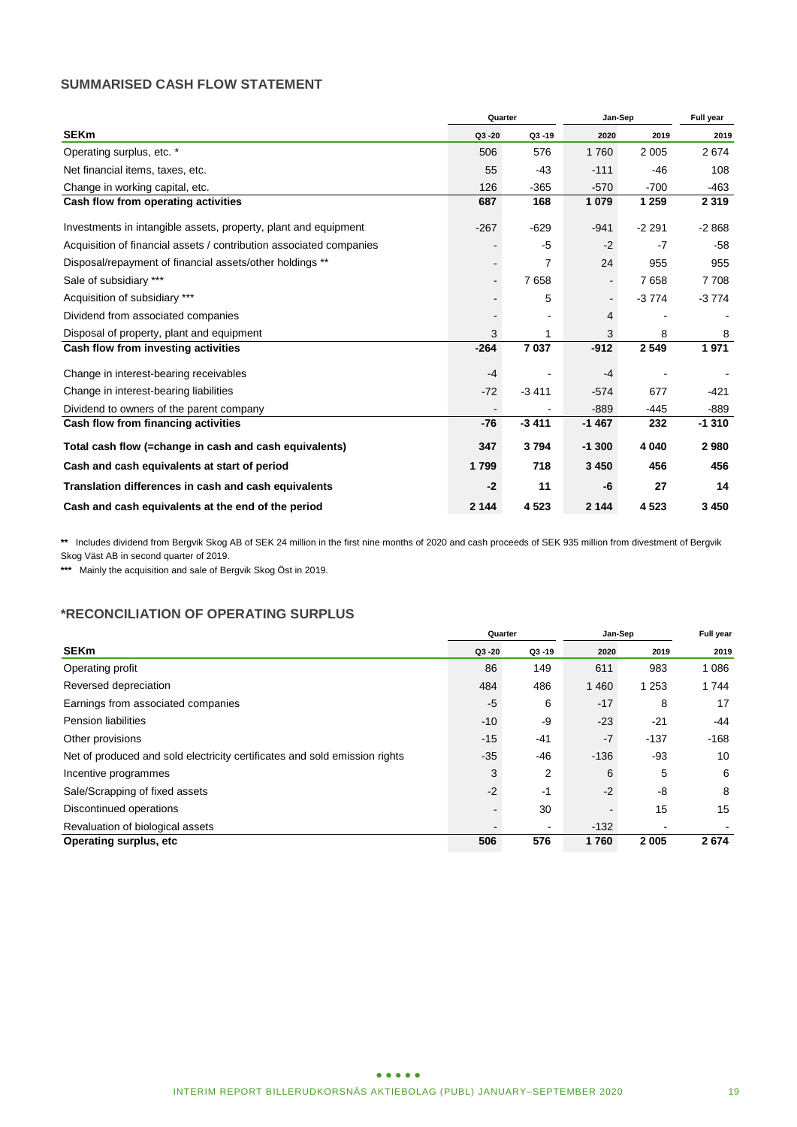### **SUMMARISED CASH FLOW STATEMENT**

|                                                                     | Quarter |           | Jan-Sep | Full year |         |
|---------------------------------------------------------------------|---------|-----------|---------|-----------|---------|
| <b>SEKm</b>                                                         | Q3-20   | $Q3 - 19$ | 2020    | 2019      | 2019    |
| Operating surplus, etc. *                                           | 506     | 576       | 1760    | 2 0 0 5   | 2674    |
| Net financial items, taxes, etc.                                    | 55      | $-43$     | $-111$  | $-46$     | 108     |
| Change in working capital, etc.                                     | 126     | $-365$    | $-570$  | $-700$    | $-463$  |
| Cash flow from operating activities                                 | 687     | 168       | 1 0 7 9 | 1 2 5 9   | 2 3 1 9 |
| Investments in intangible assets, property, plant and equipment     | $-267$  | $-629$    | $-941$  | $-2291$   | $-2868$ |
| Acquisition of financial assets / contribution associated companies |         | $-5$      | $-2$    | $-7$      | $-58$   |
| Disposal/repayment of financial assets/other holdings **            |         | 7         | 24      | 955       | 955     |
| Sale of subsidiary ***                                              |         | 7658      |         | 7658      | 7708    |
| Acquisition of subsidiary ***                                       |         | 5         |         | $-3774$   | $-3774$ |
| Dividend from associated companies                                  |         |           | 4       |           |         |
| Disposal of property, plant and equipment                           | 3       | 1         | 3       | 8         | 8       |
| Cash flow from investing activities                                 | $-264$  | 7037      | $-912$  | 2 5 4 9   | 1971    |
| Change in interest-bearing receivables                              | $-4$    |           | $-4$    |           |         |
| Change in interest-bearing liabilities                              | $-72$   | $-3411$   | $-574$  | 677       | $-421$  |
| Dividend to owners of the parent company                            |         |           | $-889$  | $-445$    | $-889$  |
| Cash flow from financing activities                                 | $-76$   | $-3411$   | $-1467$ | 232       | $-1310$ |
| Total cash flow (=change in cash and cash equivalents)              | 347     | 3794      | $-1300$ | 4 0 4 0   | 2980    |
| Cash and cash equivalents at start of period                        | 1799    | 718       | 3 4 5 0 | 456       | 456     |
| Translation differences in cash and cash equivalents                | $-2$    | 11        | -6      | 27        | 14      |
| Cash and cash equivalents at the end of the period                  | 2 1 4 4 | 4523      | 2 1 4 4 | 4523      | 3 4 5 0 |

**\*\*** Includes dividend from Bergvik Skog AB of SEK 24 million in the first nine months of 2020 and cash proceeds of SEK 935 million from divestment of Bergvik Skog Väst AB in second quarter of 2019.

**\*\*\*** Mainly the acquisition and sale of Bergvik Skog Öst in 2019.

### **\*RECONCILIATION OF OPERATING SURPLUS**

|                                                                            |                          | Quarter        | Jan-Sep | Full year |         |
|----------------------------------------------------------------------------|--------------------------|----------------|---------|-----------|---------|
| <b>SEKm</b>                                                                | $Q3 - 20$                | $Q3 - 19$      | 2020    | 2019      | 2019    |
| Operating profit                                                           | 86                       | 149            | 611     | 983       | 1 0 8 6 |
| Reversed depreciation                                                      | 484                      | 486            | 1 4 6 0 | 1 2 5 3   | 1 7 4 4 |
| Earnings from associated companies                                         | $-5$                     | 6              | $-17$   | 8         | 17      |
| <b>Pension liabilities</b>                                                 | $-10$                    | -9             | $-23$   | $-21$     | -44     |
| Other provisions                                                           | $-15$                    | $-41$          | $-7$    | $-137$    | $-168$  |
| Net of produced and sold electricity certificates and sold emission rights | $-35$                    | -46            | $-136$  | -93       | 10      |
| Incentive programmes                                                       | 3                        | 2              | 6       | 5         | 6       |
| Sale/Scrapping of fixed assets                                             | $-2$                     | $-1$           | $-2$    | -8        | 8       |
| Discontinued operations                                                    | $\blacksquare$           | 30             |         | 15        | 15      |
| Revaluation of biological assets                                           | $\overline{\phantom{0}}$ | $\blacksquare$ | $-132$  |           |         |
| <b>Operating surplus, etc</b>                                              | 506                      | 576            | 1760    | 2 0 0 5   | 2674    |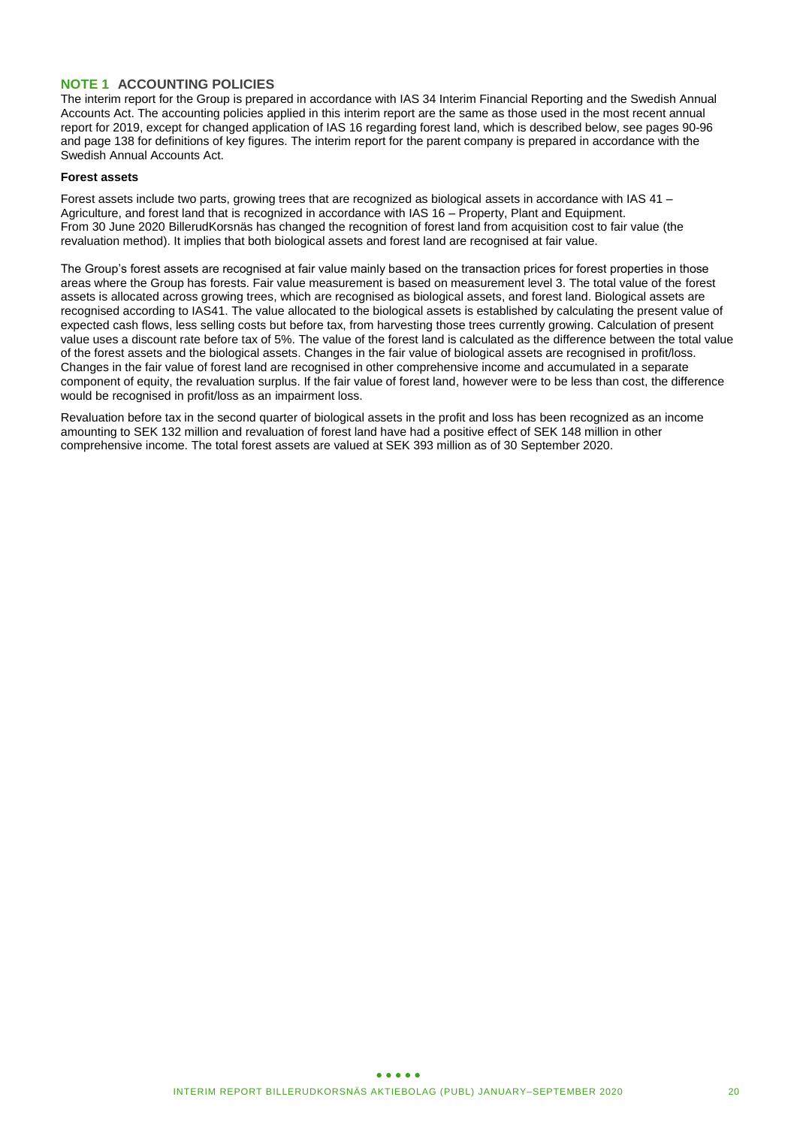### **NOTE 1 ACCOUNTING POLICIES**

The interim report for the Group is prepared in accordance with IAS 34 Interim Financial Reporting and the Swedish Annual Accounts Act. The accounting policies applied in this interim report are the same as those used in the most recent annual report for 2019, except for changed application of IAS 16 regarding forest land, which is described below, see pages 90-96 and page 138 for definitions of key figures. The interim report for the parent company is prepared in accordance with the Swedish Annual Accounts Act.

#### **Forest assets**

Forest assets include two parts, growing trees that are recognized as biological assets in accordance with IAS 41 – Agriculture, and forest land that is recognized in accordance with IAS 16 – Property, Plant and Equipment. From 30 June 2020 BillerudKorsnäs has changed the recognition of forest land from acquisition cost to fair value (the revaluation method). It implies that both biological assets and forest land are recognised at fair value.

The Group's forest assets are recognised at fair value mainly based on the transaction prices for forest properties in those areas where the Group has forests. Fair value measurement is based on measurement level 3. The total value of the forest assets is allocated across growing trees, which are recognised as biological assets, and forest land. Biological assets are recognised according to IAS41. The value allocated to the biological assets is established by calculating the present value of expected cash flows, less selling costs but before tax, from harvesting those trees currently growing. Calculation of present value uses a discount rate before tax of 5%. The value of the forest land is calculated as the difference between the total value of the forest assets and the biological assets. Changes in the fair value of biological assets are recognised in profit/loss. Changes in the fair value of forest land are recognised in other comprehensive income and accumulated in a separate component of equity, the revaluation surplus. If the fair value of forest land, however were to be less than cost, the difference would be recognised in profit/loss as an impairment loss.

Revaluation before tax in the second quarter of biological assets in the profit and loss has been recognized as an income amounting to SEK 132 million and revaluation of forest land have had a positive effect of SEK 148 million in other comprehensive income. The total forest assets are valued at SEK 393 million as of 30 September 2020.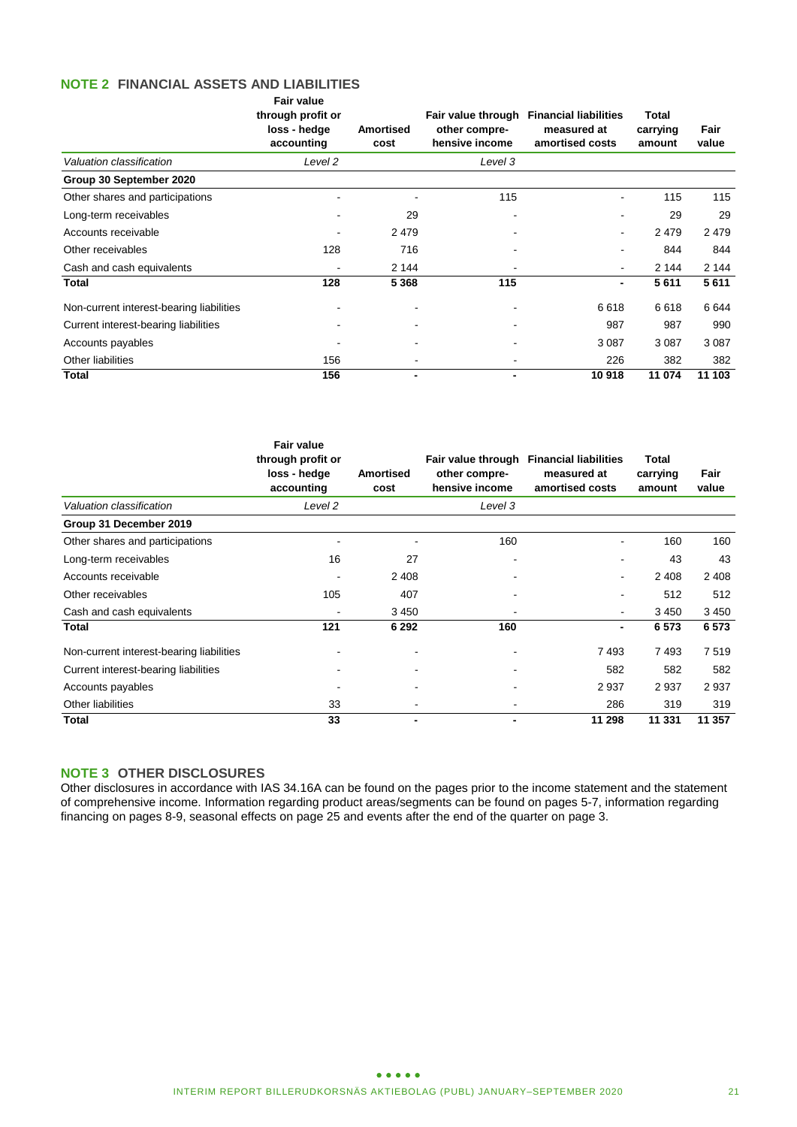#### **NOTE 2 FINANCIAL ASSETS AND LIABILITIES Fair value**

|                                          | <b>Fair value</b><br>through profit or<br>loss - hedge<br>accounting | Amortised<br>cost | other compre-<br>hensive income | Fair value through Financial liabilities<br>measured at<br>amortised costs | <b>Total</b><br>carrying<br>amount | Fair<br>value |
|------------------------------------------|----------------------------------------------------------------------|-------------------|---------------------------------|----------------------------------------------------------------------------|------------------------------------|---------------|
| Valuation classification                 | Level 2                                                              |                   | Level 3                         |                                                                            |                                    |               |
| Group 30 September 2020                  |                                                                      |                   |                                 |                                                                            |                                    |               |
| Other shares and participations          |                                                                      |                   | 115                             | $\blacksquare$                                                             | 115                                | 115           |
| Long-term receivables                    |                                                                      | 29                |                                 |                                                                            | 29                                 | 29            |
| Accounts receivable                      |                                                                      | 2479              |                                 | $\overline{\phantom{a}}$                                                   | 2479                               | 2 4 7 9       |
| Other receivables                        | 128                                                                  | 716               |                                 | $\blacksquare$                                                             | 844                                | 844           |
| Cash and cash equivalents                |                                                                      | 2 144             |                                 | $\blacksquare$                                                             | 2 144                              | 2 144         |
| <b>Total</b>                             | 128                                                                  | 5 3 6 8           | 115                             | $\overline{\phantom{0}}$                                                   | 5611                               | 5611          |
| Non-current interest-bearing liabilities |                                                                      |                   |                                 | 6618                                                                       | 6618                               | 6 6 4 4       |
| Current interest-bearing liabilities     |                                                                      |                   |                                 | 987                                                                        | 987                                | 990           |
| Accounts payables                        |                                                                      | ۰                 |                                 | 3 0 8 7                                                                    | 3 0 8 7                            | 3 0 8 7       |
| <b>Other liabilities</b>                 | 156                                                                  |                   |                                 | 226                                                                        | 382                                | 382           |
| <b>Total</b>                             | 156                                                                  |                   | $\blacksquare$                  | 10918                                                                      | 11 074                             | 11 103        |

|                                          | <b>Fair value</b><br>through profit or<br>loss - hedge<br>accounting | <b>Amortised</b><br>cost | other compre-<br>hensive income | Fair value through Financial liabilities<br>measured at<br>amortised costs | Total<br>carrying<br>amount | Fair<br>value |
|------------------------------------------|----------------------------------------------------------------------|--------------------------|---------------------------------|----------------------------------------------------------------------------|-----------------------------|---------------|
| Valuation classification                 | Level 2                                                              |                          | Level 3                         |                                                                            |                             |               |
| Group 31 December 2019                   |                                                                      |                          |                                 |                                                                            |                             |               |
| Other shares and participations          | $\overline{\phantom{a}}$                                             |                          | 160                             | $\blacksquare$                                                             | 160                         | 160           |
| Long-term receivables                    | 16                                                                   | 27                       | -                               |                                                                            | 43                          | 43            |
| Accounts receivable                      |                                                                      | 2 4 0 8                  |                                 | $\blacksquare$                                                             | 2 4 0 8                     | 2 4 0 8       |
| Other receivables                        | 105                                                                  | 407                      |                                 |                                                                            | 512                         | 512           |
| Cash and cash equivalents                | $\overline{\phantom{a}}$                                             | 3450                     |                                 | $\blacksquare$                                                             | 3 4 5 0                     | 3 4 5 0       |
| Total                                    | 121                                                                  | 6 2 9 2                  | 160                             |                                                                            | 6573                        | 6 5 7 3       |
| Non-current interest-bearing liabilities |                                                                      |                          |                                 | 7493                                                                       | 7493                        | 7519          |
| Current interest-bearing liabilities     |                                                                      |                          |                                 | 582                                                                        | 582                         | 582           |
| Accounts payables                        |                                                                      |                          |                                 | 2937                                                                       | 2937                        | 2937          |
| Other liabilities                        | 33                                                                   |                          | ۰                               | 286                                                                        | 319                         | 319           |
| Total                                    | 33                                                                   | $\blacksquare$           |                                 | 11 298                                                                     | 11 331                      | 11 357        |

### **NOTE 3 OTHER DISCLOSURES**

Other disclosures in accordance with IAS 34.16A can be found on the pages prior to the income statement and the statement of comprehensive income. Information regarding product areas/segments can be found on pages 5-7, information regarding financing on pages 8-9, seasonal effects on page 25 and events after the end of the quarter on page 3.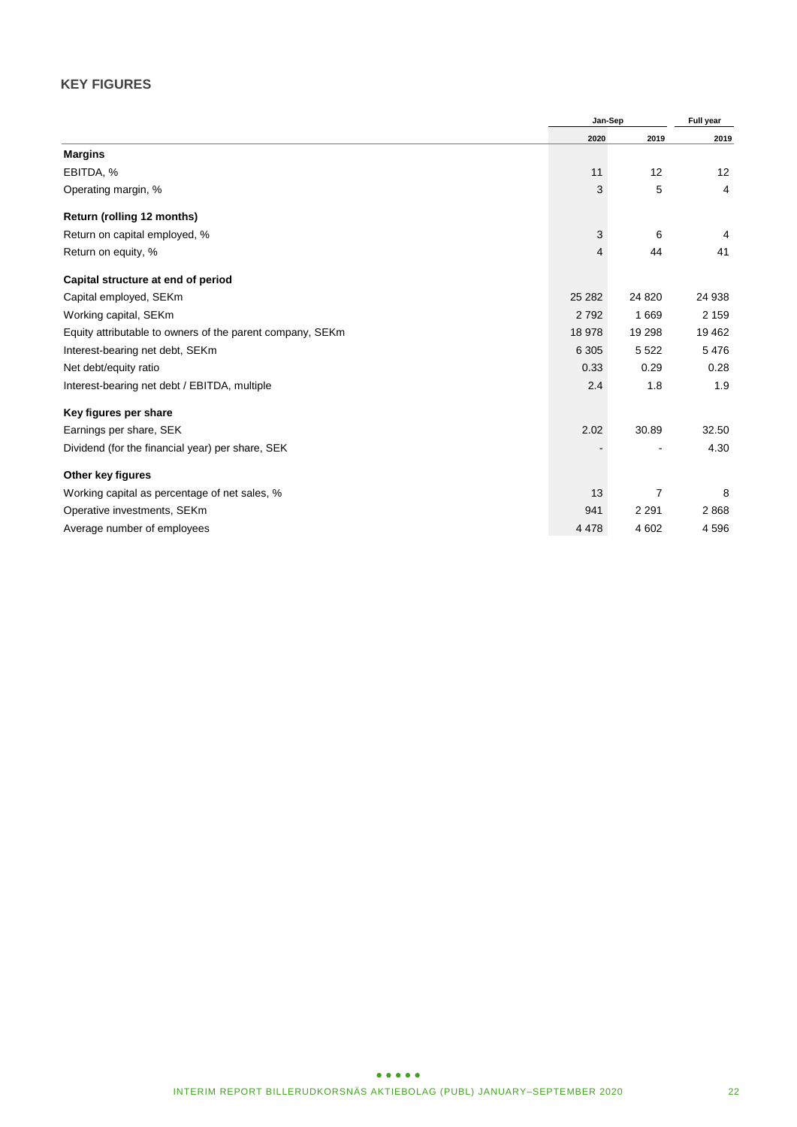# **KEY FIGURES**

|                                                           | Jan-Sep | Full year |                   |
|-----------------------------------------------------------|---------|-----------|-------------------|
|                                                           | 2020    | 2019      | 2019              |
| <b>Margins</b>                                            |         |           |                   |
| EBITDA, %                                                 | 11      | 12        | $12 \overline{ }$ |
| Operating margin, %                                       | 3       | 5         | 4                 |
| Return (rolling 12 months)                                |         |           |                   |
| Return on capital employed, %                             | 3       | 6         | 4                 |
| Return on equity, %                                       | 4       | 44        | 41                |
| Capital structure at end of period                        |         |           |                   |
| Capital employed, SEKm                                    | 25 28 2 | 24 8 20   | 24 938            |
| Working capital, SEKm                                     | 2792    | 1 6 6 9   | 2 1 5 9           |
| Equity attributable to owners of the parent company, SEKm | 18 978  | 19 298    | 19 4 62           |
| Interest-bearing net debt, SEKm                           | 6 3 0 5 | 5 5 2 2   | 5476              |
| Net debt/equity ratio                                     | 0.33    | 0.29      | 0.28              |
| Interest-bearing net debt / EBITDA, multiple              | 2.4     | 1.8       | 1.9               |
| Key figures per share                                     |         |           |                   |
| Earnings per share, SEK                                   | 2.02    | 30.89     | 32.50             |
| Dividend (for the financial year) per share, SEK          |         |           | 4.30              |
| Other key figures                                         |         |           |                   |
| Working capital as percentage of net sales, %             | 13      | 7         | 8                 |
| Operative investments, SEKm                               | 941     | 2 2 9 1   | 2868              |
| Average number of employees                               | 4 4 7 8 | 4 602     | 4596              |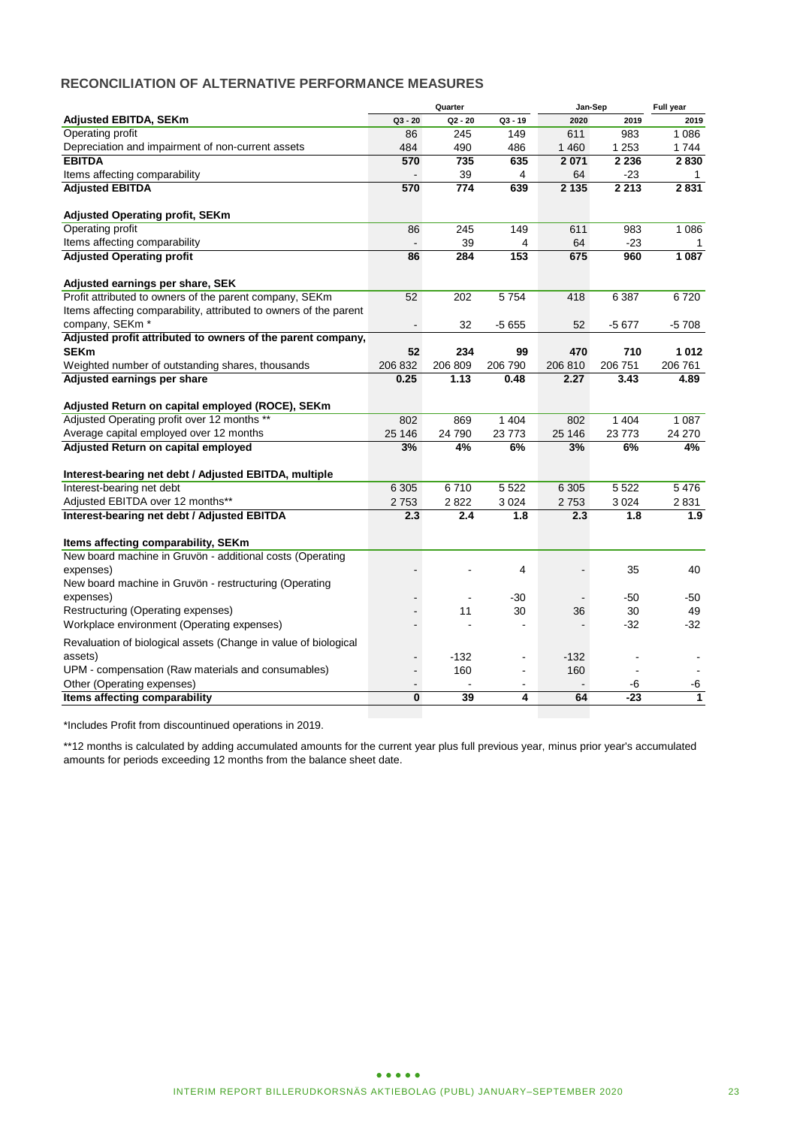### **RECONCILIATION OF ALTERNATIVE PERFORMANCE MEASURES**

|                                                                   |                | Quarter |                | Jan-Sep | Full year |         |
|-------------------------------------------------------------------|----------------|---------|----------------|---------|-----------|---------|
| <b>Adjusted EBITDA, SEKm</b>                                      | $Q3 - 20$      | Q2 - 20 | $Q3 - 19$      | 2020    | 2019      | 2019    |
| Operating profit                                                  | 86             | 245     | 149            | 611     | 983       | 1 0 8 6 |
| Depreciation and impairment of non-current assets                 | 484            | 490     | 486            | 1460    | 1 2 5 3   | 1 744   |
| <b>EBITDA</b>                                                     | 570            | 735     | 635            | 2 0 7 1 | 2 2 3 6   | 2830    |
| Items affecting comparability                                     |                | 39      | $\overline{4}$ | 64      | $-23$     | 1       |
| <b>Adjusted EBITDA</b>                                            | 570            | 774     | 639            | 2 1 3 5 | 2 2 1 3   | 2831    |
| <b>Adjusted Operating profit, SEKm</b>                            |                |         |                |         |           |         |
| Operating profit                                                  | 86             | 245     | 149            | 611     | 983       | 1 0 8 6 |
| Items affecting comparability                                     | $\blacksquare$ | 39      | 4              | 64      | $-23$     | 1       |
| <b>Adjusted Operating profit</b>                                  | 86             | 284     | 153            | 675     | 960       | 1 0 8 7 |
| Adjusted earnings per share, SEK                                  |                |         |                |         |           |         |
| Profit attributed to owners of the parent company, SEKm           | 52             | 202     | 5754           | 418     | 6 3 8 7   | 6720    |
| Items affecting comparability, attributed to owners of the parent |                |         |                |         |           |         |
| company, SEKm <sup>*</sup>                                        |                | 32      | $-5655$        | 52      | $-5677$   | -5 708  |
| Adjusted profit attributed to owners of the parent company,       |                |         |                |         |           |         |
| <b>SEKm</b>                                                       | 52             | 234     | 99             | 470     | 710       | 1012    |
| Weighted number of outstanding shares, thousands                  | 206 832        | 206 809 | 206 790        | 206 810 | 206 751   | 206 761 |
| Adjusted earnings per share                                       | 0.25           | 1.13    | 0.48           | 2.27    | 3.43      | 4.89    |
| Adjusted Return on capital employed (ROCE), SEKm                  |                |         |                |         |           |         |
| Adjusted Operating profit over 12 months **                       | 802            | 869     | 1 4 0 4        | 802     | 1 4 0 4   | 1 0 8 7 |
| Average capital employed over 12 months                           | 25 146         | 24 790  | 23773          | 25 146  | 23 773    | 24 270  |
| Adjusted Return on capital employed                               | 3%             | 4%      | 6%             | 3%      | 6%        | 4%      |
| Interest-bearing net debt / Adjusted EBITDA, multiple             |                |         |                |         |           |         |
| Interest-bearing net debt                                         | 6 3 0 5        | 6710    | 5 5 2 2        | 6 3 0 5 | 5 5 2 2   | 5476    |
| Adjusted EBITDA over 12 months**                                  | 2753           | 2822    | 3024           | 2753    | 3 0 24    | 2831    |
| Interest-bearing net debt / Adjusted EBITDA                       | 2.3            | 2.4     | 1.8            | 2.3     | 1.8       | 1.9     |
| Items affecting comparability, SEKm                               |                |         |                |         |           |         |
| New board machine in Gruvön - additional costs (Operating         |                |         |                |         |           |         |
| expenses)                                                         |                |         | 4              |         | 35        | 40      |
| New board machine in Gruvön - restructuring (Operating            |                |         |                |         |           |         |
| expenses)                                                         |                |         | -30            |         | $-50$     | -50     |
| Restructuring (Operating expenses)                                |                | 11      | 30             | 36      | 30        | 49      |
| Workplace environment (Operating expenses)                        |                |         | $\blacksquare$ |         | $-32$     | $-32$   |
| Revaluation of biological assets (Change in value of biological   |                |         |                |         |           |         |
| assets)                                                           |                | $-132$  | ۰              | $-132$  |           |         |
| UPM - compensation (Raw materials and consumables)                |                | 160     | ä,             | 160     |           |         |
| Other (Operating expenses)                                        |                |         |                |         | -6        | -6      |
| Items affecting comparability                                     | $\mathbf{0}$   | 39      | 4              | 64      | $-23$     | 1       |
|                                                                   |                |         |                |         |           |         |

\*Includes Profit from discountinued operations in 2019.

\*\*12 months is calculated by adding accumulated amounts for the current year plus full previous year, minus prior year's accumulated amounts for periods exceeding 12 months from the balance sheet date.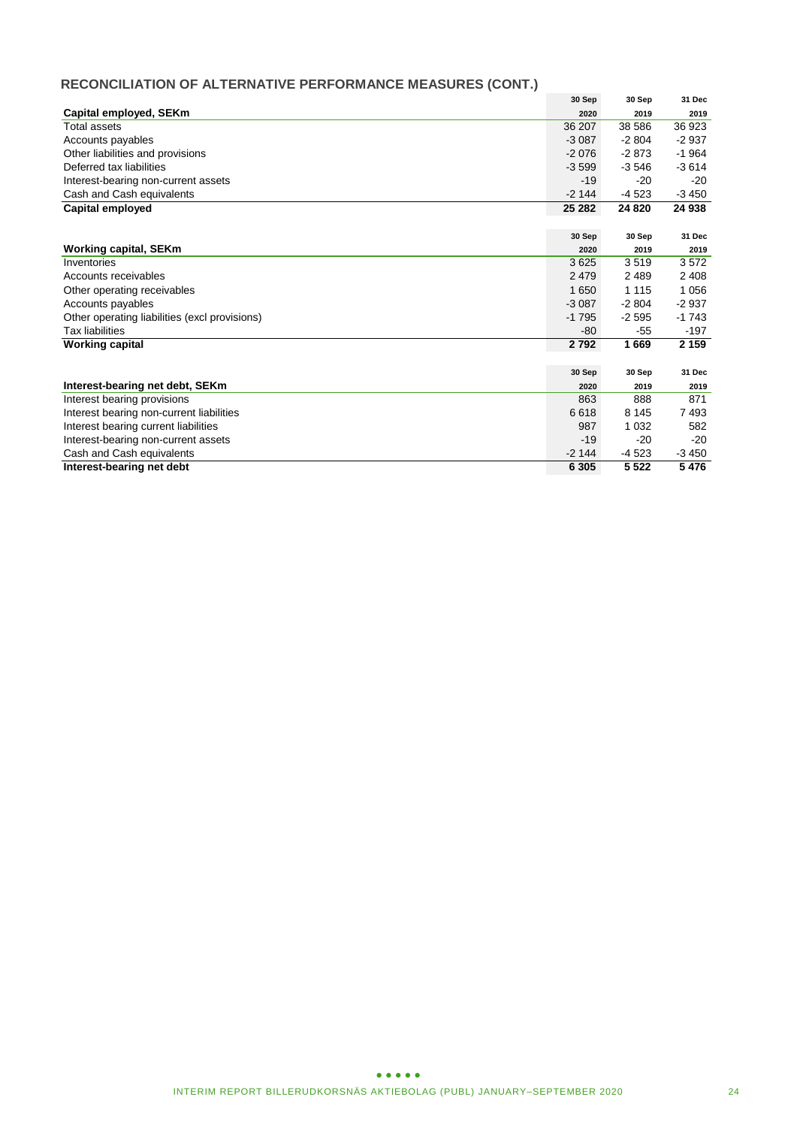# **RECONCILIATION OF ALTERNATIVE PERFORMANCE MEASURES (CONT.)**

|                                               | 30 Sep  | 30 Sep  | 31 Dec  |
|-----------------------------------------------|---------|---------|---------|
| Capital employed, SEKm                        | 2020    | 2019    | 2019    |
| Total assets                                  | 36 207  | 38 586  | 36 923  |
| Accounts payables                             | $-3087$ | $-2804$ | $-2937$ |
| Other liabilities and provisions              | $-2076$ | $-2873$ | $-1964$ |
| Deferred tax liabilities                      | $-3599$ | $-3546$ | $-3614$ |
| Interest-bearing non-current assets           | $-19$   | $-20$   | $-20$   |
| Cash and Cash equivalents                     | $-2144$ | $-4523$ | $-3450$ |
| Capital employed                              | 25 28 2 | 24 8 20 | 24 938  |
|                                               |         |         |         |
|                                               | 30 Sep  | 30 Sep  | 31 Dec  |
| <b>Working capital, SEKm</b>                  | 2020    | 2019    | 2019    |
| Inventories                                   | 3625    | 3519    | 3572    |
| Accounts receivables                          | 2 4 7 9 | 2 4 8 9 | 2 4 0 8 |
| Other operating receivables                   | 1650    | 1 1 1 5 | 1056    |
| Accounts payables                             | $-3087$ | $-2804$ | $-2937$ |
| Other operating liabilities (excl provisions) | $-1795$ | $-2595$ | $-1743$ |
| <b>Tax liabilities</b>                        | -80     | $-55$   | $-197$  |
| <b>Working capital</b>                        | 2792    | 1669    | 2 1 5 9 |
|                                               |         |         |         |
|                                               | 30 Sep  | 30 Sep  | 31 Dec  |
| Interest-bearing net debt, SEKm               | 2020    | 2019    | 2019    |
| Interest bearing provisions                   | 863     | 888     | 871     |
| Interest bearing non-current liabilities      | 6618    | 8 1 4 5 | 7493    |
| Interest bearing current liabilities          | 987     | 1 0 3 2 | 582     |
| Interest-bearing non-current assets           | $-19$   | $-20$   | $-20$   |
| Cash and Cash equivalents                     | $-2144$ | $-4523$ | $-3450$ |
| Interest-bearing net debt                     | 6 3 0 5 | 5 5 22  | 5476    |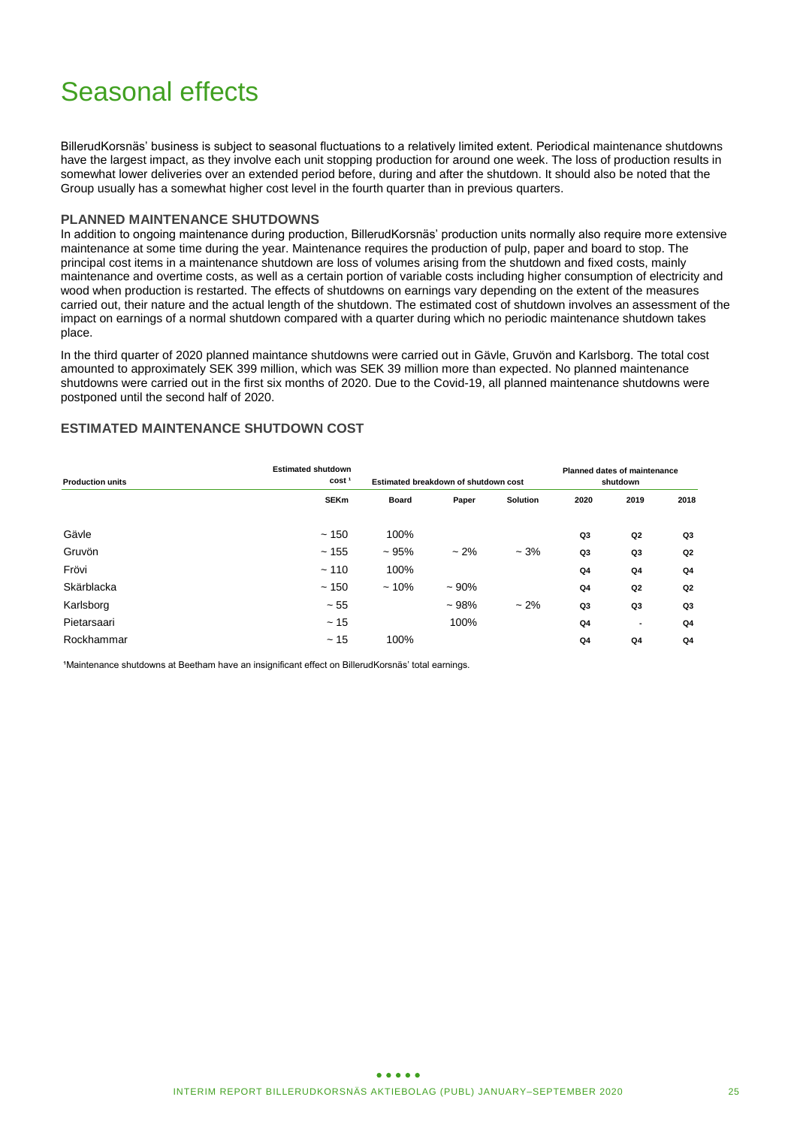# Seasonal effects

BillerudKorsnäs' business is subject to seasonal fluctuations to a relatively limited extent. Periodical maintenance shutdowns have the largest impact, as they involve each unit stopping production for around one week. The loss of production results in somewhat lower deliveries over an extended period before, during and after the shutdown. It should also be noted that the Group usually has a somewhat higher cost level in the fourth quarter than in previous quarters.

#### **PLANNED MAINTENANCE SHUTDOWNS**

In addition to ongoing maintenance during production, BillerudKorsnäs' production units normally also require more extensive maintenance at some time during the year. Maintenance requires the production of pulp, paper and board to stop. The principal cost items in a maintenance shutdown are loss of volumes arising from the shutdown and fixed costs, mainly maintenance and overtime costs, as well as a certain portion of variable costs including higher consumption of electricity and wood when production is restarted. The effects of shutdowns on earnings vary depending on the extent of the measures carried out, their nature and the actual length of the shutdown. The estimated cost of shutdown involves an assessment of the impact on earnings of a normal shutdown compared with a quarter during which no periodic maintenance shutdown takes place.

In the third quarter of 2020 planned maintance shutdowns were carried out in Gävle, Gruvön and Karlsborg. The total cost amounted to approximately SEK 399 million, which was SEK 39 million more than expected. No planned maintenance shutdowns were carried out in the first six months of 2020. Due to the Covid-19, all planned maintenance shutdowns were postponed until the second half of 2020.

### **ESTIMATED MAINTENANCE SHUTDOWN COST**

| <b>Production units</b> | <b>Estimated shutdown</b><br>cost <sup>1</sup> |              | Estimated breakdown of shutdown cost | <b>Planned dates of maintenance</b><br>shutdown |                |                          |                |
|-------------------------|------------------------------------------------|--------------|--------------------------------------|-------------------------------------------------|----------------|--------------------------|----------------|
|                         | <b>SEKm</b>                                    | <b>Board</b> | Paper                                | <b>Solution</b>                                 | 2020           | 2019                     | 2018           |
| Gävle                   | ~150                                           | 100%         |                                      |                                                 | Q3             | Q <sub>2</sub>           | Q3             |
| Gruvön                  | ~155                                           | ~1.95%       | $~2\%$                               | $-3%$                                           | Q3             | Q3                       | Q <sub>2</sub> |
| Frövi                   | $-110$                                         | 100%         |                                      |                                                 | Q4             | Q4                       | Q <sub>4</sub> |
| Skärblacka              | ~150                                           | $~10\%$      | ~100%                                |                                                 | Q <sub>4</sub> | Q <sub>2</sub>           | Q <sub>2</sub> |
| Karlsborg               | $~1$ - 55                                      |              | $~108\%$                             | $~2\%$                                          | Q3             | Q3                       | Q3             |
| Pietarsaari             | ~15                                            |              | 100%                                 |                                                 | Q <sub>4</sub> | $\overline{\phantom{a}}$ | Q <sub>4</sub> |
| Rockhammar              | ~15                                            | 100%         |                                      |                                                 | Q <sub>4</sub> | Q4                       | Q4             |

<sup>1</sup>Maintenance shutdowns at Beetham have an insignificant effect on BillerudKorsnäs' total earnings.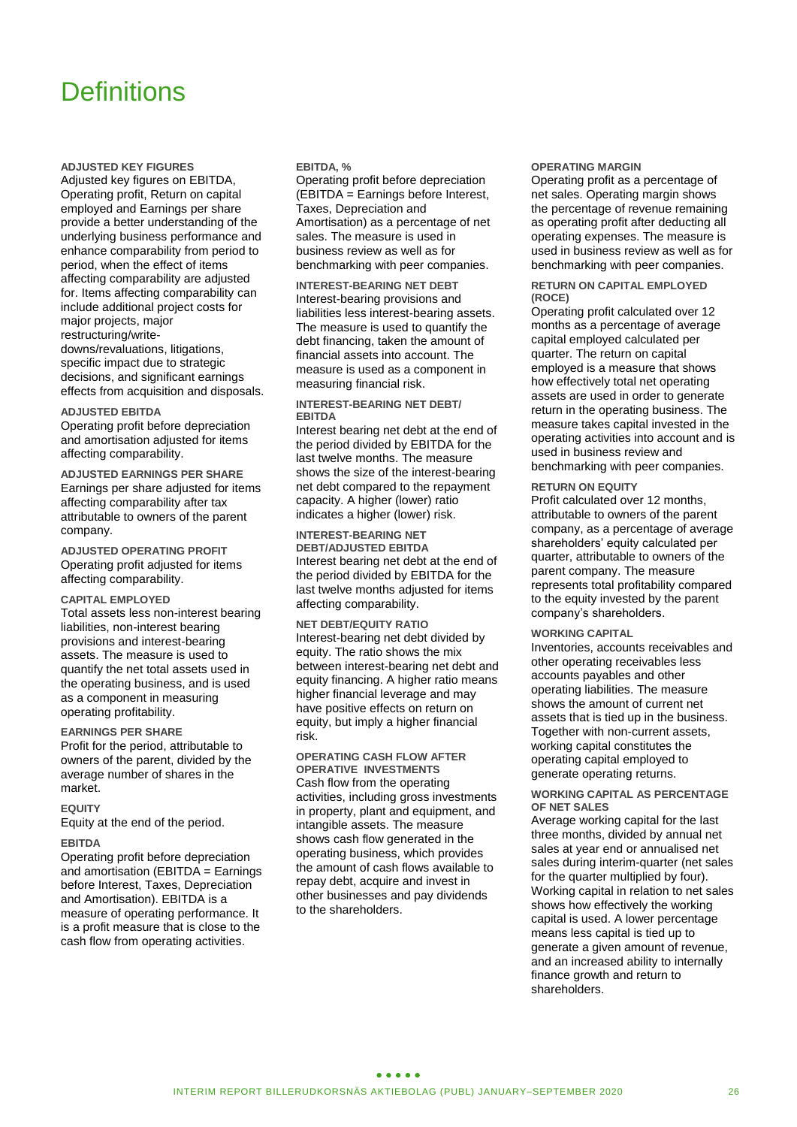# **Definitions**

**ADJUSTED KEY FIGURES**

Adjusted key figures on EBITDA, Operating profit, Return on capital employed and Earnings per share provide a better understanding of the underlying business performance and enhance comparability from period to period, when the effect of items affecting comparability are adjusted for. Items affecting comparability can include additional project costs for major projects, major restructuring/writedowns/revaluations, litigations, specific impact due to strategic decisions, and significant earnings effects from acquisition and disposals.

#### **ADJUSTED EBITDA**

Operating profit before depreciation and amortisation adjusted for items affecting comparability.

**ADJUSTED EARNINGS PER SHARE** Earnings per share adjusted for items affecting comparability after tax attributable to owners of the parent company.

**ADJUSTED OPERATING PROFIT** Operating profit adjusted for items affecting comparability.

#### **CAPITAL EMPLOYED**

Total assets less non-interest bearing liabilities, non-interest bearing provisions and interest-bearing assets. The measure is used to quantify the net total assets used in the operating business, and is used as a component in measuring operating profitability.

#### **EARNINGS PER SHARE**

Profit for the period, attributable to owners of the parent, divided by the average number of shares in the market.

#### **EQUITY**

Equity at the end of the period.

#### **EBITDA**

Operating profit before depreciation and amortisation (EBITDA = Earnings before Interest, Taxes, Depreciation and Amortisation). EBITDA is a measure of operating performance. It is a profit measure that is close to the cash flow from operating activities.

#### **EBITDA, %**

Operating profit before depreciation (EBITDA = Earnings before Interest, Taxes, Depreciation and Amortisation) as a percentage of net sales. The measure is used in business review as well as for benchmarking with peer companies.

**INTEREST-BEARING NET DEBT** Interest-bearing provisions and liabilities less interest-bearing assets. The measure is used to quantify the debt financing, taken the amount of financial assets into account. The measure is used as a component in measuring financial risk.

#### **INTEREST-BEARING NET DEBT/ EBITDA**

Interest bearing net debt at the end of the period divided by EBITDA for the last twelve months. The measure shows the size of the interest-bearing net debt compared to the repayment capacity. A higher (lower) ratio indicates a higher (lower) risk.

**INTEREST-BEARING NET DEBT/ADJUSTED EBITDA** Interest bearing net debt at the end of the period divided by EBITDA for the last twelve months adjusted for items affecting comparability.

**NET DEBT/EQUITY RATIO** Interest-bearing net debt divided by equity. The ratio shows the mix between interest-bearing net debt and equity financing. A higher ratio means higher financial leverage and may have positive effects on return on equity, but imply a higher financial risk.

#### **OPERATING CASH FLOW AFTER OPERATIVE INVESTMENTS**

Cash flow from the operating activities, including gross investments in property, plant and equipment, and intangible assets. The measure shows cash flow generated in the operating business, which provides the amount of cash flows available to repay debt, acquire and invest in other businesses and pay dividends to the shareholders.

#### **OPERATING MARGIN**

Operating profit as a percentage of net sales. Operating margin shows the percentage of revenue remaining as operating profit after deducting all operating expenses. The measure is used in business review as well as for benchmarking with peer companies.

#### **RETURN ON CAPITAL EMPLOYED (ROCE)**

Operating profit calculated over 12 months as a percentage of average capital employed calculated per quarter. The return on capital employed is a measure that shows how effectively total net operating assets are used in order to generate return in the operating business. The measure takes capital invested in the operating activities into account and is used in business review and benchmarking with peer companies.

#### **RETURN ON EQUITY**

Profit calculated over 12 months, attributable to owners of the parent company, as a percentage of average shareholders' equity calculated per quarter, attributable to owners of the parent company. The measure represents total profitability compared to the equity invested by the parent company's shareholders.

#### **WORKING CAPITAL**

Inventories, accounts receivables and other operating receivables less accounts payables and other operating liabilities. The measure shows the amount of current net assets that is tied up in the business. Together with non-current assets, working capital constitutes the operating capital employed to generate operating returns.

#### **WORKING CAPITAL AS PERCENTAGE OF NET SALES**

Average working capital for the last three months, divided by annual net sales at year end or annualised net sales during interim-quarter (net sales for the quarter multiplied by four). Working capital in relation to net sales shows how effectively the working capital is used. A lower percentage means less capital is tied up to generate a given amount of revenue, and an increased ability to internally finance growth and return to shareholders.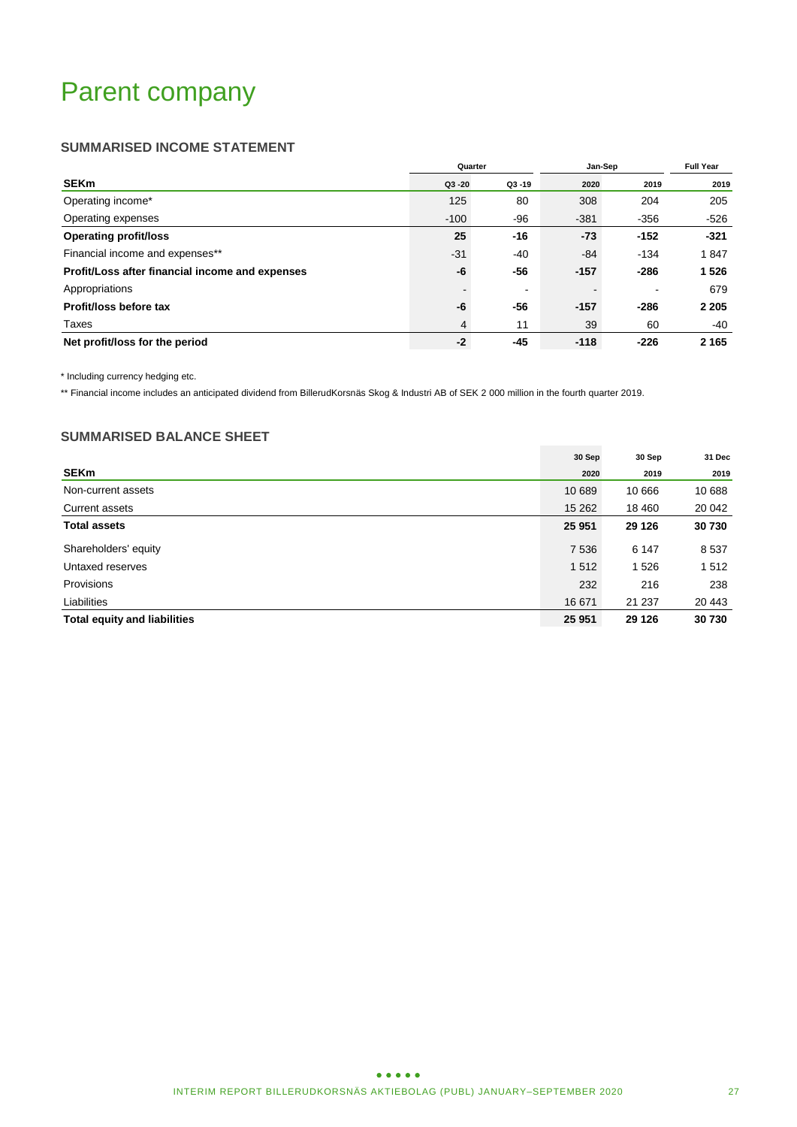# Parent company

### **SUMMARISED INCOME STATEMENT**

|                                                 | Quarter   |                | Jan-Sep | <b>Full Year</b> |         |
|-------------------------------------------------|-----------|----------------|---------|------------------|---------|
| <b>SEKm</b>                                     | $Q3 - 20$ | $Q3 - 19$      | 2020    | 2019             | 2019    |
| Operating income*                               | 125       | 80             | 308     | 204              | 205     |
| Operating expenses                              | $-100$    | -96            | $-381$  | $-356$           | -526    |
| <b>Operating profit/loss</b>                    | 25        | $-16$          | $-73$   | $-152$           | $-321$  |
| Financial income and expenses**                 | $-31$     | -40            | $-84$   | $-134$           | 1847    |
| Profit/Loss after financial income and expenses | -6        | -56            | $-157$  | $-286$           | 1526    |
| Appropriations                                  |           | $\blacksquare$ |         |                  | 679     |
| Profit/loss before tax                          | -6        | -56            | $-157$  | $-286$           | 2 2 0 5 |
| Taxes                                           | 4         | 11             | 39      | 60               | -40     |
| Net profit/loss for the period                  | $-2$      | $-45$          | $-118$  | $-226$           | 2 1 6 5 |

\* Including currency hedging etc.

\*\* Financial income includes an anticipated dividend from BillerudKorsnäs Skog & Industri AB of SEK 2 000 million in the fourth quarter 2019.

### **SUMMARISED BALANCE SHEET**

|                                     | 30 Sep  | 30 Sep  | 31 Dec |
|-------------------------------------|---------|---------|--------|
| <b>SEKm</b>                         | 2020    | 2019    | 2019   |
| Non-current assets                  | 10 689  | 10 666  | 10 688 |
| <b>Current assets</b>               | 15 2 62 | 18 460  | 20 042 |
| <b>Total assets</b>                 | 25 951  | 29 1 26 | 30730  |
| Shareholders' equity                | 7536    | 6 1 4 7 | 8537   |
| Untaxed reserves                    | 1512    | 1526    | 1512   |
| Provisions                          | 232     | 216     | 238    |
| Liabilities                         | 16 671  | 21 237  | 20 443 |
| <b>Total equity and liabilities</b> | 25 951  | 29 1 26 | 30 730 |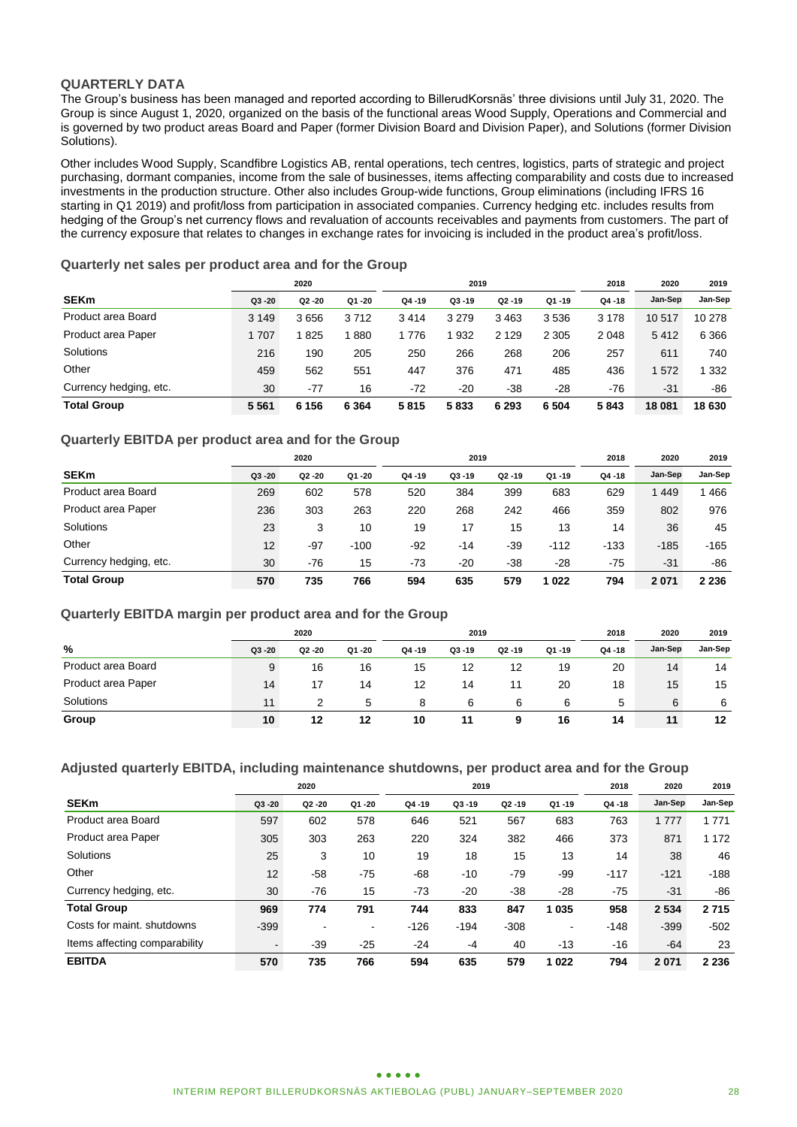### **QUARTERLY DATA**

The Group's business has been managed and reported according to BillerudKorsnäs' three divisions until July 31, 2020. The Group is since August 1, 2020, organized on the basis of the functional areas Wood Supply, Operations and Commercial and is governed by two product areas Board and Paper (former Division Board and Division Paper), and Solutions (former Division Solutions).

Other includes Wood Supply, Scandfibre Logistics AB, rental operations, tech centres, logistics, parts of strategic and project purchasing, dormant companies, income from the sale of businesses, items affecting comparability and costs due to increased investments in the production structure. Other also includes Group-wide functions, Group eliminations (including IFRS 16 starting in Q1 2019) and profit/loss from participation in associated companies. Currency hedging etc. includes results from hedging of the Group's net currency flows and revaluation of accounts receivables and payments from customers. The part of the currency exposure that relates to changes in exchange rates for invoicing is included in the product area's profit/loss.

### **Quarterly net sales per product area and for the Group**

|                        |           | 2020<br>2019 |         |        |           |           | 2018      | 2020      | 2019    |         |
|------------------------|-----------|--------------|---------|--------|-----------|-----------|-----------|-----------|---------|---------|
| <b>SEKm</b>            | $Q3 - 20$ | Q2 -20       | Q1 -20  | Q4 -19 | $Q3 - 19$ | $Q2 - 19$ | $Q1 - 19$ | $Q4 - 18$ | Jan-Sep | Jan-Sep |
| Product area Board     | 3 1 4 9   | 3656         | 3712    | 3414   | 3 2 7 9   | 3463      | 3536      | 3 1 7 8   | 10517   | 10 278  |
| Product area Paper     | 1 707     | 825          | 880     | 1 776  | 1932      | 2 1 2 9   | 2 3 0 5   | 2048      | 5412    | 6 3 6 6 |
| Solutions              | 216       | 190          | 205     | 250    | 266       | 268       | 206       | 257       | 611     | 740     |
| Other                  | 459       | 562          | 551     | 447    | 376       | 471       | 485       | 436       | 572     | 332     |
| Currency hedging, etc. | 30        | $-77$        | 16      | $-72$  | $-20$     | $-38$     | $-28$     | $-76$     | $-31$   | $-86$   |
| <b>Total Group</b>     | 5561      | 6 156        | 6 3 6 4 | 5815   | 5833      | 6 2 9 3   | 6 5 0 4   | 5843      | 18 081  | 18 630  |

### **Quarterly EBITDA per product area and for the Group**

|                        |           | 2020      |        | 2019      |           |           |           | 2018      | 2020    | 2019    |
|------------------------|-----------|-----------|--------|-----------|-----------|-----------|-----------|-----------|---------|---------|
| <b>SEKm</b>            | $Q3 - 20$ | $Q2 - 20$ | Q1 -20 | $Q4 - 19$ | $Q3 - 19$ | $Q2 - 19$ | $Q1 - 19$ | $Q4 - 18$ | Jan-Sep | Jan-Sep |
| Product area Board     | 269       | 602       | 578    | 520       | 384       | 399       | 683       | 629       | 1449    | 466     |
| Product area Paper     | 236       | 303       | 263    | 220       | 268       | 242       | 466       | 359       | 802     | 976     |
| Solutions              | 23        | 3         | 10     | 19        | 17        | 15        | 13        | 14        | 36      | 45      |
| Other                  | 12        | $-97$     | $-100$ | $-92$     | -14       | $-39$     | $-112$    | $-133$    | $-185$  | $-165$  |
| Currency hedging, etc. | 30        | $-76$     | 15     | $-73$     | $-20$     | $-38$     | $-28$     | $-75$     | $-31$   | -86     |
| <b>Total Group</b>     | 570       | 735       | 766    | 594       | 635       | 579       | 022       | 794       | 2071    | 2 2 3 6 |

#### **Quarterly EBITDA margin per product area and for the Group**

| 2020               |           |        |        | 2019      |           |           |           | 2018      | 2020    | 2019    |
|--------------------|-----------|--------|--------|-----------|-----------|-----------|-----------|-----------|---------|---------|
| %                  | $Q3 - 20$ | Q2 -20 | Q1 -20 | $Q4 - 19$ | $Q3 - 19$ | $Q2 - 19$ | $Q1 - 19$ | $Q4 - 18$ | Jan-Sep | Jan-Sep |
| Product area Board | 9         | 16     | 16     | 15        | 12        | 12        | 19        | 20        | 14      | 14      |
| Product area Paper | 14        | 17     | 14     | 12        | 14        |           | 20        | 18        | 15      | 15      |
| Solutions          | 11        |        | 5      | 8         | 6         | 6         | 6         | 5         | 6       | -6      |
| Group              | 10        | 12     | 12     | 10        | 11        | 9         | 16        | 14        | 11      | 12      |

### **Adjusted quarterly EBITDA, including maintenance shutdowns, per product area and for the Group**

|                               | 2020      |           |                |           | 2019      |           | 2018      | 2020      | 2019    |         |
|-------------------------------|-----------|-----------|----------------|-----------|-----------|-----------|-----------|-----------|---------|---------|
| <b>SEKm</b>                   | $Q3 - 20$ | $Q2 - 20$ | Q1 -20         | $Q4 - 19$ | $Q3 - 19$ | $Q2 - 19$ | $Q1 - 19$ | $Q4 - 18$ | Jan-Sep | Jan-Sep |
| Product area Board            | 597       | 602       | 578            | 646       | 521       | 567       | 683       | 763       | 1777    | 1 7 7 1 |
| Product area Paper            | 305       | 303       | 263            | 220       | 324       | 382       | 466       | 373       | 871     | 1 1 7 2 |
| Solutions                     | 25        | 3         | 10             | 19        | 18        | 15        | 13        | 14        | 38      | 46      |
| Other                         | 12        | $-58$     | $-75$          | $-68$     | $-10$     | $-79$     | -99       | $-117$    | $-121$  | $-188$  |
| Currency hedging, etc.        | 30        | $-76$     | 15             | $-73$     | $-20$     | $-38$     | $-28$     | $-75$     | $-31$   | -86     |
| <b>Total Group</b>            | 969       | 774       | 791            | 744       | 833       | 847       | 1 0 3 5   | 958       | 2 5 3 4 | 2715    |
| Costs for maint, shutdowns    | $-399$    | -         | $\blacksquare$ | $-126$    | $-194$    | $-308$    |           | $-148$    | $-399$  | $-502$  |
| Items affecting comparability | $\sim$    | $-39$     | $-25$          | $-24$     | $-4$      | 40        | $-13$     | $-16$     | $-64$   | 23      |
| <b>EBITDA</b>                 | 570       | 735       | 766            | 594       | 635       | 579       | 1 0 2 2   | 794       | 2071    | 2 2 3 6 |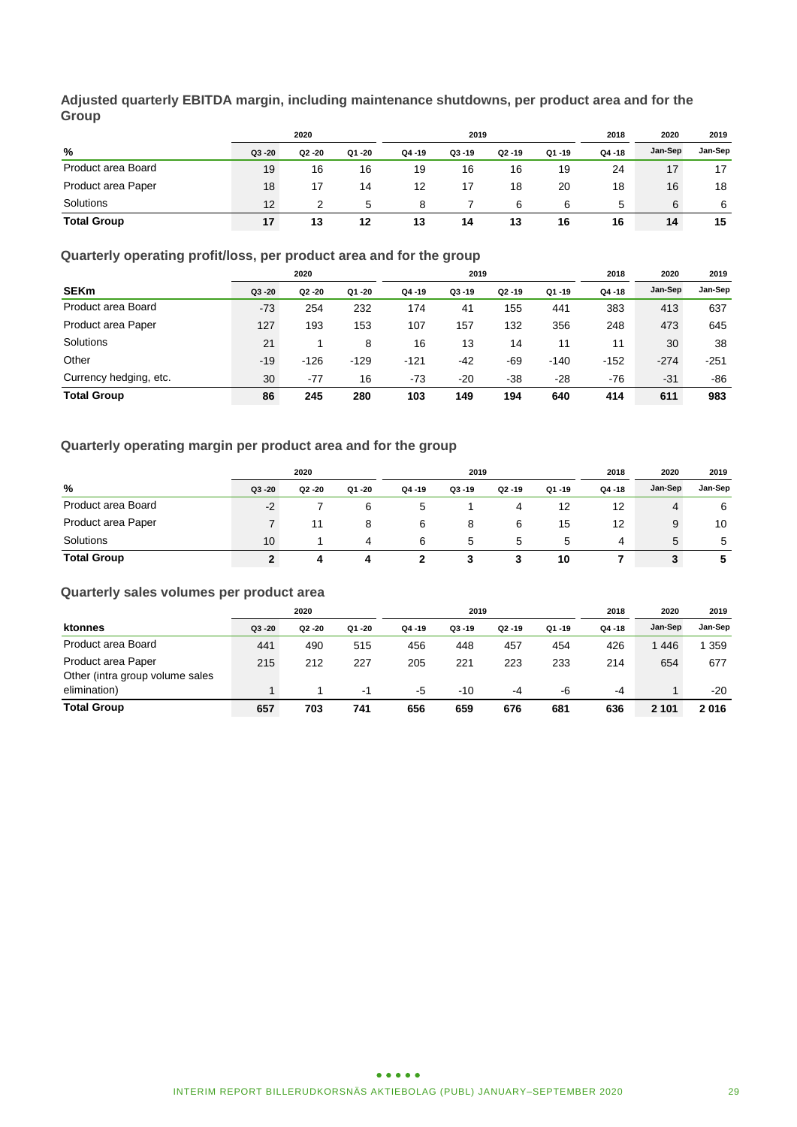**Adjusted quarterly EBITDA margin, including maintenance shutdowns, per product area and for the Group**

|                    | 2020      |           |           | 2019      |           |           |           | 2018      | 2020    | 2019    |
|--------------------|-----------|-----------|-----------|-----------|-----------|-----------|-----------|-----------|---------|---------|
| %                  | $Q3 - 20$ | $Q2 - 20$ | $Q1 - 20$ | $Q4 - 19$ | $Q3 - 19$ | $Q2 - 19$ | $Q1 - 19$ | $Q4 - 18$ | Jan-Sep | Jan-Sep |
| Product area Board | 19        | 16        | 16        | 19        | 16        | 16        | 19        | 24        | 17      | 17      |
| Product area Paper | 18        | 17        | 14        | 12        | 17        | 18        | 20        | 18        | 16      | 18      |
| Solutions          | 12        | 2         | 5         | 8         |           | 6         | 6         | 5         | 6       | 6       |
| <b>Total Group</b> | 17        | 13        | 12        | 13        | 14        | 13        | 16        | 16        | 14      | 15      |

### **Quarterly operating profit/loss, per product area and for the group**

|                        | 2020      |           |        | 2019      |           |           |           | 2018   | 2020    | 2019    |
|------------------------|-----------|-----------|--------|-----------|-----------|-----------|-----------|--------|---------|---------|
| <b>SEKm</b>            | $Q3 - 20$ | $Q2 - 20$ | Q1 -20 | $Q4 - 19$ | $Q3 - 19$ | $Q2 - 19$ | $Q1 - 19$ | Q4 -18 | Jan-Sep | Jan-Sep |
| Product area Board     | $-73$     | 254       | 232    | 174       | 41        | 155       | 441       | 383    | 413     | 637     |
| Product area Paper     | 127       | 193       | 153    | 107       | 157       | 132       | 356       | 248    | 473     | 645     |
| Solutions              | 21        |           | 8      | 16        | 13        | 14        | 11        | 11     | 30      | 38      |
| Other                  | $-19$     | $-126$    | $-129$ | $-121$    | -42       | $-69$     | $-140$    | $-152$ | $-274$  | $-251$  |
| Currency hedging, etc. | 30        | $-77$     | 16     | $-73$     | $-20$     | $-38$     | $-28$     | $-76$  | $-31$   | -86     |
| <b>Total Group</b>     | 86        | 245       | 280    | 103       | 149       | 194       | 640       | 414    | 611     | 983     |

### **Quarterly operating margin per product area and for the group**

| 2020               |        |        |        | 2019      |           |        |           | 2018      | 2020    | 2019    |
|--------------------|--------|--------|--------|-----------|-----------|--------|-----------|-----------|---------|---------|
| %                  | Q3 -20 | Q2 -20 | Q1 -20 | $Q4 - 19$ | $Q3 - 19$ | Q2 -19 | $Q1 - 19$ | $Q4 - 18$ | Jan-Sep | Jan-Sep |
| Product area Board | $-2$   |        | 6      |           |           | 4      | 12        | 12        | 4       | 6       |
| Product area Paper |        | 11     | 8      | 6         | 8         | 6      | 15        | 12        | 9       | 10      |
| Solutions          | 10     |        | 4      | 6         | 5         | 5      | 5         | 4         | 5       | -5      |
| <b>Total Group</b> |        | 4      |        |           |           |        | 10        |           | 3       | 5       |

### **Quarterly sales volumes per product area**

|                                 | 2020      |           |       | 2019      |           |           |       | 2018   | 2020    | 2019    |
|---------------------------------|-----------|-----------|-------|-----------|-----------|-----------|-------|--------|---------|---------|
| ktonnes                         | $Q3 - 20$ | $Q2 - 20$ | Q1-20 | $Q4 - 19$ | $Q3 - 19$ | $Q2 - 19$ | Q1-19 | Q4 -18 | Jan-Sep | Jan-Sep |
| Product area Board              | 441       | 490       | 515   | 456       | 448       | 457       | 454   | 426    | 1446    | 359     |
| Product area Paper              | 215       | 212       | 227   | 205       | 221       | 223       | 233   | 214    | 654     | 677     |
| Other (intra group volume sales |           |           |       |           |           |           |       |        |         |         |
| elimination)                    |           |           | -1    | -5        | $-10$     | -4        | -6    | -4     |         | $-20$   |
| <b>Total Group</b>              | 657       | 703       | 741   | 656       | 659       | 676       | 681   | 636    | 2 1 0 1 | 2016    |